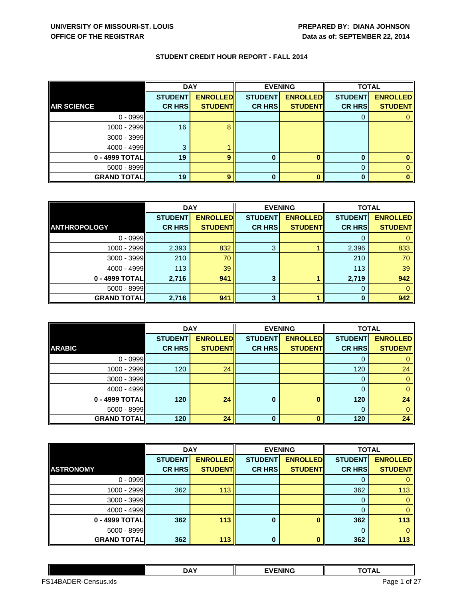|                    | <b>DAY</b>     |                 | <b>EVENING</b> |                 | <b>TOTAL</b>   |                 |
|--------------------|----------------|-----------------|----------------|-----------------|----------------|-----------------|
|                    | <b>STUDENT</b> | <b>ENROLLED</b> | <b>STUDENT</b> | <b>ENROLLED</b> | <b>STUDENT</b> | <b>ENROLLED</b> |
| <b>AIR SCIENCE</b> | <b>CR HRS</b>  | <b>STUDENT</b>  | <b>CR HRS</b>  | <b>STUDENT</b>  | <b>CR HRS</b>  | <b>STUDENT</b>  |
| $0 - 0999$         |                |                 |                |                 |                |                 |
| 1000 - 2999        | 16             |                 |                |                 |                |                 |
| 3000 - 3999        |                |                 |                |                 |                |                 |
| $4000 - 4999$      | З              |                 |                |                 |                |                 |
| 0 - 4999 TOTAL     | 19             | $\mathbf o$     | O              |                 | 0              |                 |
| $5000 - 8999$      |                |                 |                |                 | 0              |                 |
| <b>GRAND TOTAL</b> | 19             | $\circ$         |                |                 |                |                 |

|                     | <b>DAY</b>     |                 | <b>EVENING</b> |                 | <b>TOTAL</b>   |                 |
|---------------------|----------------|-----------------|----------------|-----------------|----------------|-----------------|
|                     | <b>STUDENT</b> | <b>ENROLLED</b> | <b>STUDENT</b> | <b>ENROLLED</b> | <b>STUDENT</b> | <b>ENROLLED</b> |
| <b>ANTHROPOLOGY</b> | <b>CR HRS</b>  | <b>STUDENT</b>  | <b>CR HRS</b>  | <b>STUDENT</b>  | <b>CR HRS</b>  | <b>STUDENT</b>  |
| $0 - 0999$          |                |                 |                |                 |                |                 |
| 1000 - 2999         | 2,393          | 832             | 3              |                 | 2,396          | 833             |
| 3000 - 3999         | 210            | 70              |                |                 | 210            | 70              |
| $4000 - 4999$       | 113            | 39              |                |                 | 113            | 39              |
| 0 - 4999 TOTAL      | 2,716          | 941             | 3              |                 | 2,719          | 942             |
| 5000 - 8999         |                |                 |                |                 | 0              |                 |
| <b>GRAND TOTAL</b>  | 2,716          | 941             | 3              |                 | $\Omega$       | 942             |

|                    | <b>DAY</b>     |                 | <b>EVENING</b> |                 | <b>TOTAL</b>   |                 |
|--------------------|----------------|-----------------|----------------|-----------------|----------------|-----------------|
|                    | <b>STUDENT</b> | <b>ENROLLED</b> | <b>STUDENT</b> | <b>ENROLLED</b> | <b>STUDENT</b> | <b>ENROLLED</b> |
| <b>ARABIC</b>      | <b>CR HRS</b>  | <b>STUDENT</b>  | <b>CR HRS</b>  | <b>STUDENT</b>  | <b>CR HRS</b>  | <b>STUDENT</b>  |
| $0 - 0999$         |                |                 |                |                 | 0              |                 |
| 1000 - 2999        | 120            | 24              |                |                 | 120            | 24              |
| 3000 - 3999        |                |                 |                |                 | 0              |                 |
| $4000 - 4999$      |                |                 |                |                 | 0              |                 |
| 0 - 4999 TOTAL     | 120            | 24              | 0              |                 | 120            | 24              |
| 5000 - 8999        |                |                 |                |                 | 0              |                 |
| <b>GRAND TOTAL</b> | 120            | 24              | $\bf{0}$       |                 | 120            | 24              |

|                    | <b>DAY</b>     |                 | <b>EVENING</b> |                 | <b>TOTAL</b>   |                 |
|--------------------|----------------|-----------------|----------------|-----------------|----------------|-----------------|
|                    | <b>STUDENT</b> | <b>ENROLLED</b> | <b>STUDENT</b> | <b>ENROLLED</b> | <b>STUDENT</b> | <b>ENROLLED</b> |
| <b>ASTRONOMY</b>   | <b>CR HRS</b>  | <b>STUDENT</b>  | <b>CR HRS</b>  | <b>STUDENT</b>  | <b>CR HRS</b>  | <b>STUDENT</b>  |
| $0 - 0999$         |                |                 |                |                 | O              |                 |
| 1000 - 2999        | 362            | 113             |                |                 | 362            | 113             |
| 3000 - 3999        |                |                 |                |                 | $\Omega$       |                 |
| $4000 - 4999$      |                |                 |                |                 | 0              |                 |
| 0 - 4999 TOTAL     | 362            | 113             | $\bf{0}$       |                 | 362            | 113             |
| 5000 - 8999        |                |                 |                |                 | 0              |                 |
| <b>GRAND TOTAL</b> | 362            | 113             | $\bf{0}$       |                 | 362            | 113             |

|                                           | <b>DAY</b> | <b>EVENING</b> | -----<br>1 A L |  |
|-------------------------------------------|------------|----------------|----------------|--|
| FS1<br><b>DER-4</b><br>Jensus.xls<br>1BA∟ |            |                | of 27<br>Page  |  |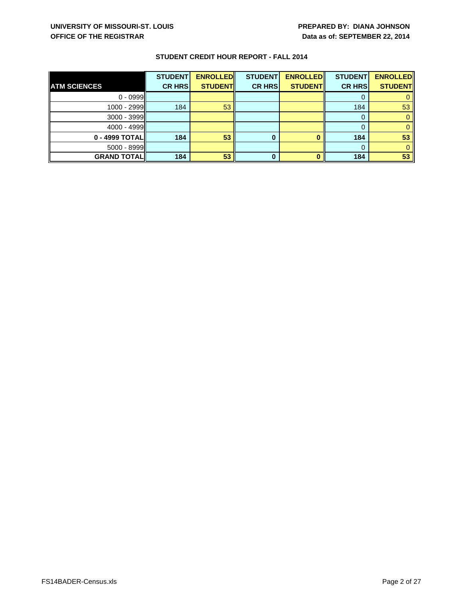|                     | <b>STUDENT</b> | <b>ENROLLED</b> | <b>STUDENT</b> | <b>ENROLLED</b> | <b>STUDENT</b> | <b>ENROLLED</b> |
|---------------------|----------------|-----------------|----------------|-----------------|----------------|-----------------|
| <b>ATM SCIENCES</b> | <b>CR HRS</b>  | <b>STUDENT</b>  | <b>CR HRS</b>  | <b>STUDENTI</b> | <b>CR HRSI</b> | <b>STUDENT</b>  |
| $0 - 0999$          |                |                 |                |                 |                |                 |
| $1000 - 2999$       | 184            | 53              |                |                 | 184            | 53              |
| $3000 - 3999$       |                |                 |                |                 |                |                 |
| $4000 - 4999$       |                |                 |                |                 |                |                 |
| 0 - 4999 TOTALI     | 184            | 53              |                |                 | 184            | 53              |
| $5000 - 8999$       |                |                 |                |                 |                |                 |
| <b>GRAND TOTALI</b> | 184            | 53              |                |                 | 184            | 53              |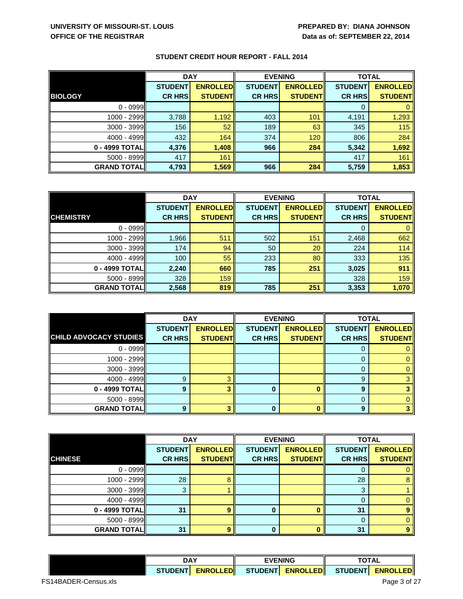| <b>DAY</b>         |                | <b>EVENING</b>  |                | <b>TOTAL</b>    |                |                 |
|--------------------|----------------|-----------------|----------------|-----------------|----------------|-----------------|
|                    | <b>STUDENT</b> | <b>ENROLLED</b> | <b>STUDENT</b> | <b>ENROLLED</b> | <b>STUDENT</b> | <b>ENROLLED</b> |
| <b>BIOLOGY</b>     | <b>CR HRS</b>  | <b>STUDENT</b>  | <b>CR HRS</b>  | <b>STUDENT</b>  | <b>CR HRS</b>  | <b>STUDENT</b>  |
| $0 - 0999$         |                |                 |                |                 |                |                 |
| 1000 - 2999        | 3,788          | 1,192           | 403            | 101             | 4,191          | 1,293           |
| $3000 - 3999$      | 156            | 52              | 189            | 63              | 345            | 115             |
| $4000 - 4999$      | 432            | 164             | 374            | 120             | 806            | 284             |
| 0 - 4999 TOTAL     | 4,376          | 1,408           | 966            | 284             | 5,342          | 1,692           |
| $5000 - 8999$      | 417            | 161             |                |                 | 417            | 161             |
| <b>GRAND TOTAL</b> | 4,793          | 1,569           | 966            | 284             | 5,759          | 1,853           |

|                    | <b>DAY</b>     |                 | <b>EVENING</b> |                 | <b>TOTAL</b>   |                 |
|--------------------|----------------|-----------------|----------------|-----------------|----------------|-----------------|
|                    | <b>STUDENT</b> | <b>ENROLLED</b> | <b>STUDENT</b> | <b>ENROLLED</b> | <b>STUDENT</b> | <b>ENROLLED</b> |
| <b>CHEMISTRY</b>   | <b>CR HRS</b>  | <b>STUDENT</b>  | <b>CR HRS</b>  | <b>STUDENT</b>  | <b>CR HRS</b>  | <b>STUDENT</b>  |
| $0 - 0999$         |                |                 |                |                 | 0              |                 |
| 1000 - 2999        | 1,966          | 511             | 502            | 151             | 2,468          | 662             |
| $3000 - 3999$      | 174            | 94              | 50             | 20              | 224            | 114             |
| $4000 - 4999$      | 100            | 55              | 233            | 80              | 333            | 135             |
| 0 - 4999 TOTAL     | 2,240          | 660             | 785            | 251             | 3,025          | 911             |
| $5000 - 8999$      | 328            | 159             |                |                 | 328            | 159             |
| <b>GRAND TOTAL</b> | 2,568          | 819             | 785            | 251             | 3,353          | 1,070           |

|                               | <b>DAY</b>     |                 | <b>EVENING</b> |                 | <b>TOTAL</b>   |                 |
|-------------------------------|----------------|-----------------|----------------|-----------------|----------------|-----------------|
|                               | <b>STUDENT</b> | <b>ENROLLED</b> | <b>STUDENT</b> | <b>ENROLLED</b> | <b>STUDENT</b> | <b>ENROLLED</b> |
| <b>CHILD ADVOCACY STUDIES</b> | <b>CR HRS</b>  | <b>STUDENT</b>  | <b>CR HRS</b>  | <b>STUDENT</b>  | <b>CR HRS</b>  | <b>STUDENT</b>  |
| $0 - 0999$                    |                |                 |                |                 | U              |                 |
| 1000 - 2999                   |                |                 |                |                 | 0              |                 |
| 3000 - 3999                   |                |                 |                |                 | 0              |                 |
| $4000 - 4999$                 | g              |                 |                |                 | 9              |                 |
| 0 - 4999 TOTAL                | 9              |                 |                |                 | 9              |                 |
| $5000 - 8999$                 |                |                 |                |                 | 0              |                 |
| <b>GRAND TOTAL</b>            | a              |                 |                |                 | 9              |                 |

|                    | <b>DAY</b>     |                 | <b>EVENING</b> |                 | <b>TOTAL</b>   |                 |
|--------------------|----------------|-----------------|----------------|-----------------|----------------|-----------------|
|                    | <b>STUDENT</b> | <b>ENROLLED</b> | <b>STUDENT</b> | <b>ENROLLED</b> | <b>STUDENT</b> | <b>ENROLLED</b> |
| <b>CHINESE</b>     | <b>CR HRS</b>  | <b>STUDENT</b>  | <b>CR HRS</b>  | <b>STUDENT</b>  | <b>CR HRS</b>  | <b>STUDENT</b>  |
| $0 - 0999$         |                |                 |                |                 | 0              |                 |
| $1000 - 2999$      | 28             |                 |                |                 | 28             |                 |
| 3000 - 3999        | 3              |                 |                |                 | 3              |                 |
| 4000 - 4999        |                |                 |                |                 | 0              |                 |
| 0 - 4999 TOTAL     | 31             |                 |                |                 | 31             |                 |
| 5000 - 8999        |                |                 |                |                 | $\Omega$       |                 |
| <b>GRAND TOTAL</b> | 31             | g               | 0              |                 | 31             | 9               |

|             | <b>DAY</b>              |  | <b>VENING</b>    |                | n                    |  |
|-------------|-------------------------|--|------------------|----------------|----------------------|--|
| <b>DEN.</b> | _EDII<br><b>ENROLLL</b> |  | <b>ENROLLEDI</b> | <b>STUDENT</b> | FDI<br><b>FNROLL</b> |  |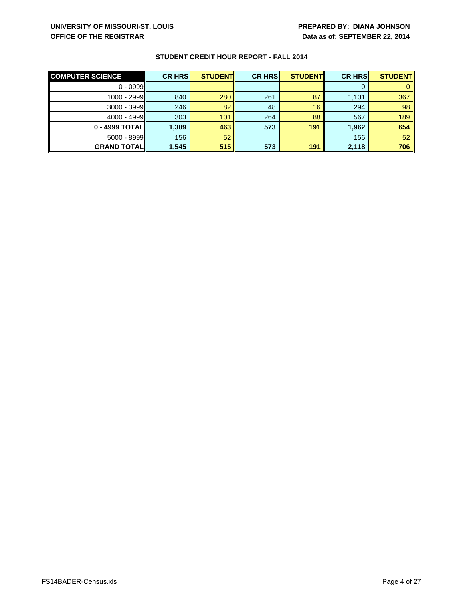| <b>COMPUTER SCIENCE</b> | <b>CR HRS</b> | <b>STUDENT</b> | <b>CR HRS</b> | <b>STUDENT</b> | <b>CR HRS</b> | <b>STUDENT</b> |
|-------------------------|---------------|----------------|---------------|----------------|---------------|----------------|
| $0 - 0999$              |               |                |               |                |               |                |
| $1000 - 2999$           | 840           | 280            | 261           | 87             | 1,101         | 367            |
| $3000 - 3999$           | 246           | 82             | 48            | 16             | 294           | 98             |
| $4000 - 4999$           | 303           | 101            | 264           | 88             | 567           | 189            |
| 0 - 4999 TOTAL          | 1,389         | 463            | 573           | 191            | 1,962         | 654            |
| $5000 - 8999$           | 156           | 52             |               |                | 156           | 52             |
| <b>GRAND TOTAL</b>      | 1,545         | 515            | 573           | 191            | 2,118         | 706            |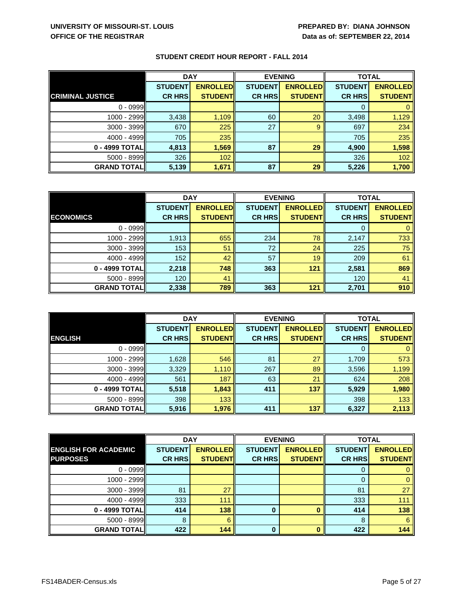|                         | <b>DAY</b>     |                 | <b>EVENING</b> |                 | <b>TOTAL</b>   |                 |
|-------------------------|----------------|-----------------|----------------|-----------------|----------------|-----------------|
|                         | <b>STUDENT</b> | <b>ENROLLED</b> | <b>STUDENT</b> | <b>ENROLLED</b> | <b>STUDENT</b> | <b>ENROLLED</b> |
| <b>CRIMINAL JUSTICE</b> | <b>CR HRS</b>  | <b>STUDENT</b>  | <b>CR HRS</b>  | <b>STUDENTI</b> | <b>CR HRS</b>  | <b>STUDENT</b>  |
| $0 - 0999$              |                |                 |                |                 | 0              |                 |
| 1000 - 2999             | 3,438          | 1,109           | 60             | 20              | 3,498          | 1,129           |
| $3000 - 3999$           | 670            | 225             | 27             | 9               | 697            | 234             |
| 4000 - 4999             | 705            | 235             |                |                 | 705            | 235             |
| 0 - 4999 TOTAL          | 4,813          | 1,569           | 87             | 29              | 4,900          | 1,598           |
| 5000 - 8999             | 326            | 102             |                |                 | 326            | 102             |
| <b>GRAND TOTAL</b>      | 5,139          | 1,671           | 87             | 29              | 5,226          | 1,700           |

|                     | <b>DAY</b>     |                 | <b>EVENING</b> |                 | <b>TOTAL</b>   |                 |
|---------------------|----------------|-----------------|----------------|-----------------|----------------|-----------------|
|                     | <b>STUDENT</b> | <b>ENROLLED</b> | <b>STUDENT</b> | <b>ENROLLED</b> | <b>STUDENT</b> | <b>ENROLLED</b> |
| <b>ECONOMICS</b>    | <b>CR HRS</b>  | <b>STUDENT</b>  | <b>CR HRS</b>  | <b>STUDENT</b>  | <b>CR HRS</b>  | <b>STUDENT</b>  |
| $0 - 0999$          |                |                 |                |                 |                |                 |
| 1000 - 2999         | 1,913          | 655             | 234            | 78              | 2,147          | 733             |
| $3000 - 3999$       | 153            | 51              | 72             | 24              | 225            | 75              |
| $4000 - 4999$       | 152            | 42              | 57             | 19              | 209            | 61              |
| 0 - 4999 TOTAL      | 2,218          | 748             | 363            | 121             | 2,581          | 869             |
| $5000 - 8999$       | 120            | 41              |                |                 | 120            | 41              |
| <b>GRAND TOTALI</b> | 2,338          | 789             | 363            | 121             | 2,701          | 910             |

|                    | <b>DAY</b>     |                 | <b>EVENING</b> |                 | <b>TOTAL</b>   |                 |
|--------------------|----------------|-----------------|----------------|-----------------|----------------|-----------------|
|                    | <b>STUDENT</b> | <b>ENROLLED</b> | <b>STUDENT</b> | <b>ENROLLED</b> | <b>STUDENT</b> | <b>ENROLLED</b> |
| <b>ENGLISH</b>     | <b>CR HRS</b>  | <b>STUDENT</b>  | <b>CR HRS</b>  | <b>STUDENT</b>  | <b>CR HRS</b>  | <b>STUDENT</b>  |
| $0 - 0999$         |                |                 |                |                 | 0              |                 |
| 1000 - 2999        | 1,628          | 546             | 81             | 27              | 1,709          | 573             |
| 3000 - 3999        | 3,329          | 1,110           | 267            | 89              | 3,596          | 1,199           |
| 4000 - 4999        | 561            | 187             | 63             | 21              | 624            | 208             |
| 0 - 4999 TOTAL     | 5,518          | 1,843           | 411            | 137             | 5,929          | 1,980           |
| $5000 - 8999$      | 398            | 133             |                |                 | 398            | 133             |
| <b>GRAND TOTAL</b> | 5,916          | 1,976           | 411            | 137             | 6,327          | 2,113           |

|                             | <b>DAY</b>     |                 | <b>EVENING</b> |                 | <b>TOTAL</b>   |                 |
|-----------------------------|----------------|-----------------|----------------|-----------------|----------------|-----------------|
| <b>ENGLISH FOR ACADEMIC</b> | <b>STUDENT</b> | <b>ENROLLED</b> | <b>STUDENT</b> | <b>ENROLLED</b> | <b>STUDENT</b> | <b>ENROLLED</b> |
| <b>PURPOSES</b>             | <b>CR HRS</b>  | <b>STUDENT</b>  | <b>CR HRS</b>  | <b>STUDENT</b>  | <b>CR HRS</b>  | <b>STUDENT</b>  |
| $0 - 0999$                  |                |                 |                |                 | 0              |                 |
| $1000 - 2999$               |                |                 |                |                 | 0              |                 |
| $3000 - 3999$               | 81             | 27              |                |                 | 81             | 27              |
| $4000 - 4999$               | 333            | 111             |                |                 | 333            | 111             |
| 0 - 4999 TOTAL              | 414            | 138             | 0              |                 | 414            | 138             |
| 5000 - 8999                 | 8              | 6               |                |                 | 8              | 6               |
| <b>GRAND TOTALI</b>         | 422            | 144             | $\bf{0}$       |                 | 422            | 144             |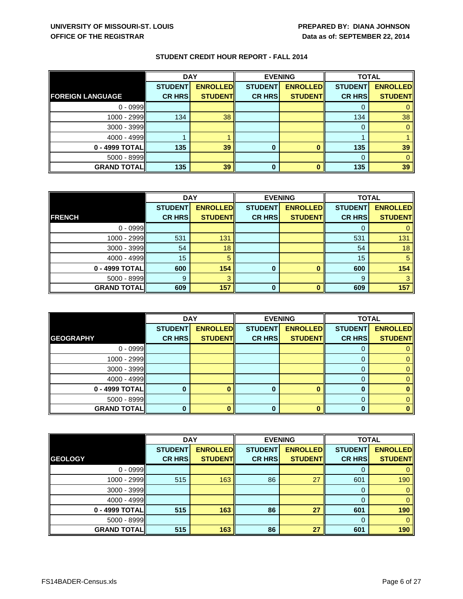|                         | <b>DAY</b>     |                 |                | <b>EVENING</b>  |                | <b>TOTAL</b>    |  |
|-------------------------|----------------|-----------------|----------------|-----------------|----------------|-----------------|--|
|                         | <b>STUDENT</b> | <b>ENROLLED</b> | <b>STUDENT</b> | <b>ENROLLED</b> | <b>STUDENT</b> | <b>ENROLLED</b> |  |
| <b>FOREIGN LANGUAGE</b> | <b>CR HRS</b>  | <b>STUDENT</b>  | <b>CR HRS</b>  | <b>STUDENTI</b> | <b>CR HRS</b>  | <b>STUDENT</b>  |  |
| $0 - 0999$              |                |                 |                |                 |                |                 |  |
| 1000 - 2999             | 134            | 38              |                |                 | 134            | 38              |  |
| $3000 - 3999$           |                |                 |                |                 | 0              |                 |  |
| 4000 - 4999             |                |                 |                |                 |                |                 |  |
| 0 - 4999 TOTAL          | 135            | 39              | 0              |                 | 135            | 39              |  |
| $5000 - 8999$           |                |                 |                |                 | 0              |                 |  |
| <b>GRAND TOTAL</b>      | 135            | 39              | 0              |                 | 135            | 39              |  |

|                    | <b>DAY</b>     |                 | <b>EVENING</b> |                 | <b>TOTAL</b>   |                 |
|--------------------|----------------|-----------------|----------------|-----------------|----------------|-----------------|
|                    | <b>STUDENT</b> | <b>ENROLLED</b> | <b>STUDENT</b> | <b>ENROLLED</b> | <b>STUDENT</b> | <b>ENROLLED</b> |
| <b>FRENCH</b>      | <b>CR HRS</b>  | <b>STUDENT</b>  | <b>CR HRS</b>  | <b>STUDENT</b>  | <b>CR HRS</b>  | <b>STUDENT</b>  |
| $0 - 0999$         |                |                 |                |                 |                |                 |
| $1000 - 2999$      | 531            | 131             |                |                 | 531            | 131             |
| 3000 - 3999        | 54             | 18              |                |                 | 54             | 18              |
| 4000 - 4999        | 15             | 5               |                |                 | 15             | 5               |
| 0 - 4999 TOTAL     | 600            | 154             | 0              |                 | 600            | 154             |
| $5000 - 8999$      | 9              |                 |                |                 | 9              |                 |
| <b>GRAND TOTAL</b> | 609            | 157             | $\bf{0}$       |                 | 609            | 157             |

|                    | <b>DAY</b>     |                 | <b>EVENING</b> |                 | <b>TOTAL</b>   |                 |
|--------------------|----------------|-----------------|----------------|-----------------|----------------|-----------------|
|                    | <b>STUDENT</b> | <b>ENROLLED</b> | <b>STUDENT</b> | <b>ENROLLED</b> | <b>STUDENT</b> | <b>ENROLLED</b> |
| <b>GEOGRAPHY</b>   | <b>CR HRS</b>  | <b>STUDENT</b>  | <b>CR HRS</b>  | <b>STUDENT</b>  | <b>CR HRS</b>  | <b>STUDENT</b>  |
| $0 - 0999$         |                |                 |                |                 | 0              |                 |
| 1000 - 2999        |                |                 |                |                 | 0              |                 |
| $3000 - 3999$      |                |                 |                |                 | 0              |                 |
| $4000 - 4999$      |                |                 |                |                 | 0              |                 |
| 0 - 4999 TOTAL     |                |                 | o              |                 | 0              |                 |
| $5000 - 8999$      |                |                 |                |                 | 0              |                 |
| <b>GRAND TOTAL</b> |                |                 |                |                 | 0              |                 |

|                    | <b>DAY</b>     |                 | <b>EVENING</b> |                 | <b>TOTAL</b>   |                 |
|--------------------|----------------|-----------------|----------------|-----------------|----------------|-----------------|
|                    | <b>STUDENT</b> | <b>ENROLLED</b> | <b>STUDENT</b> | <b>ENROLLED</b> | <b>STUDENT</b> | <b>ENROLLED</b> |
| <b>GEOLOGY</b>     | <b>CR HRS</b>  | <b>STUDENTI</b> | <b>CR HRS</b>  | <b>STUDENT</b>  | <b>CR HRS</b>  | <b>STUDENT</b>  |
| $0 - 0999$         |                |                 |                |                 | 0              |                 |
| $1000 - 2999$      | 515            | 163             | 86             | 27              | 601            | 190             |
| $3000 - 3999$      |                |                 |                |                 | 0              |                 |
| $4000 - 4999$      |                |                 |                |                 | 0              |                 |
| 0 - 4999 TOTAL     | 515            | 163             | 86             | 27              | 601            | 190             |
| 5000 - 8999        |                |                 |                |                 | 0              |                 |
| <b>GRAND TOTAL</b> | 515            | 163             | 86             | 27              | 601            | 190             |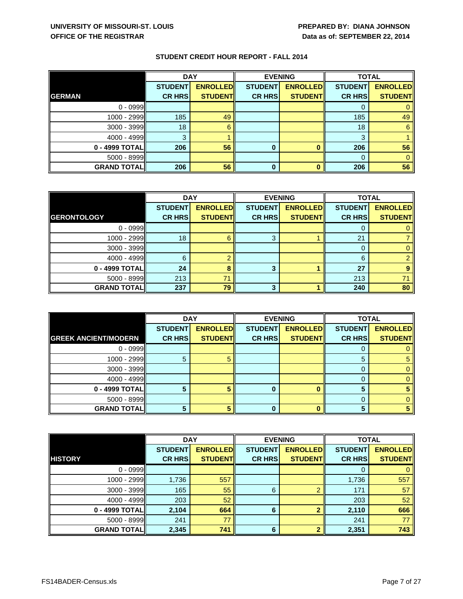|                    | <b>DAY</b>     |                 | <b>EVENING</b> |                 | <b>TOTAL</b>   |                 |
|--------------------|----------------|-----------------|----------------|-----------------|----------------|-----------------|
|                    | <b>STUDENT</b> | <b>ENROLLED</b> | <b>STUDENT</b> | <b>ENROLLED</b> | <b>STUDENT</b> | <b>ENROLLED</b> |
| <b>GERMAN</b>      | <b>CR HRS</b>  | <b>STUDENT</b>  | <b>CR HRS</b>  | <b>STUDENT</b>  | <b>CR HRS</b>  | <b>STUDENT</b>  |
| $0 - 0999$         |                |                 |                |                 | O              |                 |
| 1000 - 2999        | 185            | 49              |                |                 | 185            | 49              |
| $3000 - 3999$      | 18             | 6               |                |                 | 18             | 6               |
| 4000 - 4999        | 3              |                 |                |                 | 3              |                 |
| 0 - 4999 TOTAL     | 206            | 56              |                |                 | 206            | 56              |
| 5000 - 8999        |                |                 |                |                 | 0              |                 |
| <b>GRAND TOTAL</b> | 206            | 56              | $\bf{0}$       |                 | 206            | 56              |

|                    | <b>DAY</b>     |                 | <b>EVENING</b> |                 | <b>TOTAL</b>   |                 |
|--------------------|----------------|-----------------|----------------|-----------------|----------------|-----------------|
|                    | <b>STUDENT</b> | <b>ENROLLED</b> | <b>STUDENT</b> | <b>ENROLLED</b> | <b>STUDENT</b> | <b>ENROLLED</b> |
| <b>GERONTOLOGY</b> | <b>CR HRS</b>  | <b>STUDENT</b>  | <b>CR HRS</b>  | <b>STUDENT</b>  | <b>CR HRS</b>  | <b>STUDENT</b>  |
| $0 - 0999$         |                |                 |                |                 |                |                 |
| $1000 - 2999$      | 18             | 6               | 3              |                 | 21             |                 |
| 3000 - 3999        |                |                 |                |                 | O              |                 |
| 4000 - 4999        | 6              |                 |                |                 | 6              |                 |
| 0 - 4999 TOTAL     | 24             |                 | 3              |                 | 27             |                 |
| 5000 - 8999        | 213            | 71              |                |                 | 213            | 71              |
| <b>GRAND TOTAL</b> | 237            | 79              | 3              |                 | 240            | 80              |

|                             | <b>DAY</b>     |                 | <b>EVENING</b> |                 | <b>TOTAL</b>   |                 |
|-----------------------------|----------------|-----------------|----------------|-----------------|----------------|-----------------|
|                             | <b>STUDENT</b> | <b>ENROLLED</b> | <b>STUDENT</b> | <b>ENROLLED</b> | <b>STUDENT</b> | <b>ENROLLED</b> |
| <b>GREEK ANCIENT/MODERN</b> | <b>CR HRS</b>  | <b>STUDENT</b>  | <b>CR HRS</b>  | <b>STUDENT</b>  | <b>CR HRS</b>  | <b>STUDENT</b>  |
| $0 - 0999$                  |                |                 |                |                 |                |                 |
| 1000 - 2999                 | 5              |                 |                |                 | 5              |                 |
| 3000 - 3999                 |                |                 |                |                 | 0              |                 |
| 4000 - 4999                 |                |                 |                |                 |                |                 |
| 0 - 4999 TOTAL              |                |                 |                |                 | 5              |                 |
| 5000 - 8999                 |                |                 |                |                 | 0              |                 |
| <b>GRAND TOTAL</b>          |                |                 |                |                 | г,             |                 |

|                    | <b>DAY</b>     |                 | <b>EVENING</b> |                  | <b>TOTAL</b>   |                 |
|--------------------|----------------|-----------------|----------------|------------------|----------------|-----------------|
|                    | <b>STUDENT</b> | <b>ENROLLED</b> | <b>STUDENT</b> | <b>ENROLLEDI</b> | <b>STUDENT</b> | <b>ENROLLED</b> |
| <b>HISTORY</b>     | <b>CR HRS</b>  | <b>STUDENT</b>  | <b>CR HRS</b>  | <b>STUDENTI</b>  | <b>CR HRS</b>  | <b>STUDENT</b>  |
| $0 - 0999$         |                |                 |                |                  | 0              |                 |
| 1000 - 2999        | 1,736          | 557             |                |                  | 1,736          | 557             |
| 3000 - 3999        | 165            | 55              | 6              |                  | 171            | 57              |
| $4000 - 4999$      | 203            | 52              |                |                  | 203            | 52              |
| 0 - 4999 TOTALI    | 2,104          | 664             | 6              | ≘                | 2,110          | 666             |
| 5000 - 8999        | 241            | 77              |                |                  | 241            | 77              |
| <b>GRAND TOTAL</b> | 2,345          | 741             | 6              |                  | 2,351          | 743             |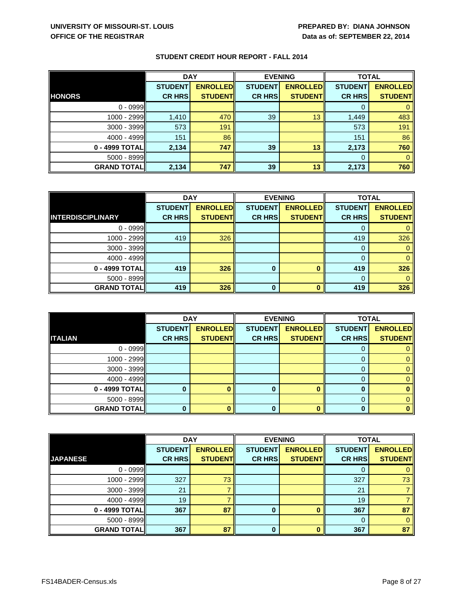|                    | <b>DAY</b>     |                 | <b>EVENING</b> |                 | <b>TOTAL</b>   |                 |
|--------------------|----------------|-----------------|----------------|-----------------|----------------|-----------------|
|                    | <b>STUDENT</b> | <b>ENROLLED</b> | <b>STUDENT</b> | <b>ENROLLED</b> | <b>STUDENT</b> | <b>ENROLLED</b> |
| <b>HONORS</b>      | <b>CR HRS</b>  | <b>STUDENT</b>  | <b>CR HRS</b>  | <b>STUDENTI</b> | <b>CR HRS</b>  | <b>STUDENT</b>  |
| $0 - 0999$         |                |                 |                |                 | 0              |                 |
| $1000 - 2999$      | 1,410          | 470             | 39             | 13              | 1,449          | 483             |
| $3000 - 3999$      | 573            | 191             |                |                 | 573            | 191             |
| 4000 - 4999        | 151            | 86              |                |                 | 151            | 86              |
| 0 - 4999 TOTALI    | 2,134          | 747             | 39             | 13              | 2,173          | 760             |
| $5000 - 8999$      |                |                 |                |                 | 0              |                 |
| <b>GRAND TOTAL</b> | 2,134          | 747             | 39             | 13              | 2,173          | 760             |

|                          | <b>DAY</b>     |                 | <b>EVENING</b> |                 | <b>TOTAL</b>   |                 |
|--------------------------|----------------|-----------------|----------------|-----------------|----------------|-----------------|
|                          | <b>STUDENT</b> | <b>ENROLLED</b> | <b>STUDENT</b> | <b>ENROLLED</b> | <b>STUDENT</b> | <b>ENROLLED</b> |
| <b>INTERDISCIPLINARY</b> | <b>CR HRS</b>  | <b>STUDENT</b>  | <b>CR HRS</b>  | <b>STUDENT</b>  | <b>CR HRS</b>  | <b>STUDENT</b>  |
| $0 - 0999$               |                |                 |                |                 |                |                 |
| $1000 - 2999$            | 419            | 326             |                |                 | 419            | 326             |
| $3000 - 3999$            |                |                 |                |                 |                |                 |
| 4000 - 4999              |                |                 |                |                 |                |                 |
| 0 - 4999 TOTAL           | 419            | 326             | $\bf{0}$       |                 | 419            | 326             |
| 5000 - 8999              |                |                 |                |                 |                |                 |
| <b>GRAND TOTALI</b>      | 419            | 326             | $\bf{0}$       |                 | 419            | 326             |

|                    | <b>DAY</b>     |                 | <b>EVENING</b> |                 | <b>TOTAL</b>   |                 |
|--------------------|----------------|-----------------|----------------|-----------------|----------------|-----------------|
|                    | <b>STUDENT</b> | <b>ENROLLED</b> | <b>STUDENT</b> | <b>ENROLLED</b> | <b>STUDENT</b> | <b>ENROLLED</b> |
| <b>ITALIAN</b>     | <b>CR HRS</b>  | <b>STUDENT</b>  | <b>CR HRS</b>  | <b>STUDENT</b>  | <b>CR HRS</b>  | <b>STUDENT</b>  |
| $0 - 0999$         |                |                 |                |                 |                |                 |
| 1000 - 2999        |                |                 |                |                 |                |                 |
| $3000 - 3999$      |                |                 |                |                 | 0              |                 |
| 4000 - 4999        |                |                 |                |                 | 0              |                 |
| 0 - 4999 TOTAL     |                |                 |                |                 | 0              |                 |
| 5000 - 8999        |                |                 |                |                 | 0              |                 |
| <b>GRAND TOTAL</b> |                |                 |                |                 | ŋ              |                 |

|                    | <b>DAY</b>     |                 | <b>EVENING</b> |                 | <b>TOTAL</b>   |                 |
|--------------------|----------------|-----------------|----------------|-----------------|----------------|-----------------|
|                    | <b>STUDENT</b> | <b>ENROLLED</b> | <b>STUDENT</b> | <b>ENROLLED</b> | <b>STUDENT</b> | <b>ENROLLED</b> |
| <b>JAPANESE</b>    | <b>CR HRS</b>  | <b>STUDENTI</b> | <b>CR HRS</b>  | <b>STUDENT</b>  | <b>CR HRS</b>  | <b>STUDENT</b>  |
| $0 - 0999$         |                |                 |                |                 | O              |                 |
| 1000 - 2999        | 327            | 73              |                |                 | 327            | 73              |
| 3000 - 3999        | 21             |                 |                |                 | 21             |                 |
| $4000 - 4999$      | 19             |                 |                |                 | 19             |                 |
| 0 - 4999 TOTAL     | 367            | 87              | $\bf{0}$       |                 | 367            | 87              |
| 5000 - 8999        |                |                 |                |                 | $\Omega$       |                 |
| <b>GRAND TOTAL</b> | 367            | 87              | 0              |                 | 367            | 87              |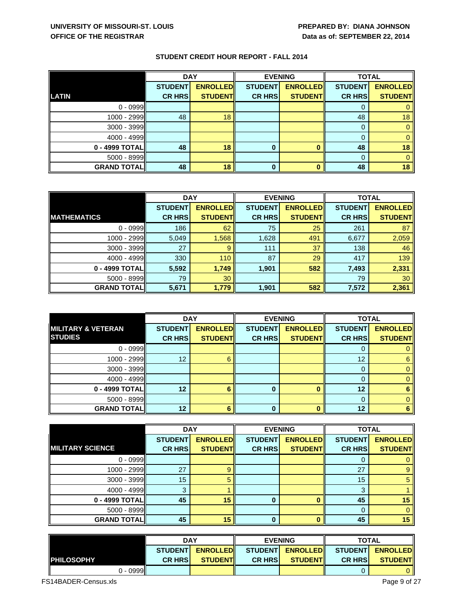|                    | <b>DAY</b>     |                 | <b>EVENING</b> |                 | <b>TOTAL</b>   |                 |
|--------------------|----------------|-----------------|----------------|-----------------|----------------|-----------------|
|                    | <b>STUDENT</b> | <b>ENROLLED</b> | <b>STUDENT</b> | <b>ENROLLED</b> | <b>STUDENT</b> | <b>ENROLLED</b> |
| <b>LATIN</b>       | <b>CR HRS</b>  | <b>STUDENT</b>  | <b>CR HRS</b>  | <b>STUDENTI</b> | <b>CR HRS</b>  | <b>STUDENT</b>  |
| $0 - 0999$         |                |                 |                |                 | O              |                 |
| 1000 - 2999        | 48             | 18              |                |                 | 48             | 18              |
| $3000 - 3999$      |                |                 |                |                 | 0              |                 |
| 4000 - 4999        |                |                 |                |                 | 0              |                 |
| 0 - 4999 TOTAL     | 48             | 18              | 0              |                 | 48             | 18              |
| $5000 - 8999$      |                |                 |                |                 | $\Omega$       |                 |
| <b>GRAND TOTAL</b> | 48             | 18              | 0              |                 | 48             | 18              |

|                     | <b>DAY</b>     |                 | <b>EVENING</b> |                 | <b>TOTAL</b>   |                 |
|---------------------|----------------|-----------------|----------------|-----------------|----------------|-----------------|
|                     | <b>STUDENT</b> | <b>ENROLLED</b> | <b>STUDENT</b> | <b>ENROLLED</b> | <b>STUDENT</b> | <b>ENROLLED</b> |
| <b>IMATHEMATICS</b> | <b>CR HRS</b>  | <b>STUDENT</b>  | <b>CR HRS</b>  | <b>STUDENT</b>  | <b>CR HRS</b>  | <b>STUDENT</b>  |
| $0 - 0999$          | 186            | 62              | 75             | 25              | 261            | 87              |
| 1000 - 2999         | 5,049          | 1,568           | 1,628          | 491             | 6,677          | 2,059           |
| $3000 - 3999$       | 27             | 9               | 111            | 37              | 138            | 46              |
| 4000 - 4999         | 330            | 110             | 87             | 29              | 417            | 139             |
| 0 - 4999 TOTAL      | 5,592          | 1,749           | 1,901          | 582             | 7,493          | 2,331           |
| $5000 - 8999$       | 79             | 30              |                |                 | 79             | 30              |
| <b>GRAND TOTAL</b>  | 5,671          | 1,779           | 1,901          | 582             | 7,572          | 2,361           |

|                               | <b>DAY</b>     |                 | <b>EVENING</b> |                 | <b>TOTAL</b>   |                 |
|-------------------------------|----------------|-----------------|----------------|-----------------|----------------|-----------------|
| <b>MILITARY &amp; VETERAN</b> | <b>STUDENT</b> | <b>ENROLLED</b> | <b>STUDENT</b> | <b>ENROLLED</b> | <b>STUDENT</b> | <b>ENROLLED</b> |
| <b>STUDIES</b>                | <b>CR HRS</b>  | <b>STUDENT</b>  | <b>CR HRS</b>  | <b>STUDENT</b>  | <b>CR HRS</b>  | <b>STUDENT</b>  |
| $0 - 0999$                    |                |                 |                |                 | 0              |                 |
| 1000 - 2999                   | 12             | Б               |                |                 | 12             | 6               |
| 3000 - 3999                   |                |                 |                |                 | 0              |                 |
| $4000 - 4999$                 |                |                 |                |                 | 0              |                 |
| 0 - 4999 TOTAL                | 12             |                 | $\Omega$       | n               | 12             |                 |
| $5000 - 8999$                 |                |                 |                |                 | 0              |                 |
| <b>GRAND TOTAL</b>            | 12             |                 |                | Λ               | 12             |                 |

|                         | <b>DAY</b>     |                 |                | <b>EVENING</b>  | <b>TOTAL</b>   |                 |
|-------------------------|----------------|-----------------|----------------|-----------------|----------------|-----------------|
|                         | <b>STUDENT</b> | <b>ENROLLED</b> | <b>STUDENT</b> | <b>ENROLLED</b> | <b>STUDENT</b> | <b>ENROLLED</b> |
| <b>MILITARY SCIENCE</b> | <b>CR HRS</b>  | <b>STUDENT</b>  | <b>CR HRS</b>  | <b>STUDENTI</b> | <b>CR HRS</b>  | <b>STUDENT</b>  |
| $0 - 0999$              |                |                 |                |                 |                |                 |
| 1000 - 2999             | 27             | 9               |                |                 | 27             | 9               |
| 3000 - 3999             | 15             |                 |                |                 | 15             | 5               |
| $4000 - 4999$           | 3              |                 |                |                 | 3              |                 |
| 0 - 4999 TOTAL          | 45             | 15              | 0              |                 | 45             | 15              |
| 5000 - 8999             |                |                 |                |                 |                | 0               |
| <b>GRAND TOTALI</b>     | 45             | 15              | 0              |                 | 45             | 15              |

|                    | <b>DAY</b>     |                  | <b>EVENING</b> |                     | <b>TOTAL</b>   |                  |
|--------------------|----------------|------------------|----------------|---------------------|----------------|------------------|
|                    | <b>STUDENT</b> | <b>ENROLLEDI</b> |                | STUDENTI ENROLLEDII |                | STUDENT ENROLLED |
| <b>IPHILOSOPHY</b> | <b>CR HRSI</b> | <b>STUDENTI</b>  | <b>CR HRSI</b> | <b>STUDENTI</b>     | <b>CR HRSI</b> | <b>STUDENT</b>   |
| ာ - 0999ll         |                |                  |                |                     |                |                  |

FS14BADER-Census.xls Page 9 of 27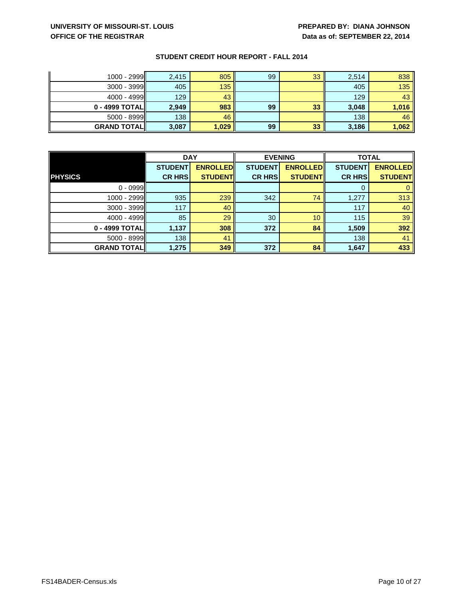# **UNIVERSITY OF MISSOURI-ST. LOUIS PREPARED BY: DIANA JOHNSON OFFICE OF THE REGISTRAR DATA BE ALSO SEPTEMBER 22, 2014**

| 1000 - 2999        | 2,415 | 805   | 99 | 33 | 2,514 | 838   |
|--------------------|-------|-------|----|----|-------|-------|
| $3000 - 3999$      | 405   | 135   |    |    | 405   | 135   |
| $4000 - 4999$      | 129   | 43    |    |    | 129   | 43'   |
| 0 - 4999 TOTALII   | 2,949 | 983   | 99 | 33 | 3,048 | 1,016 |
| $5000 - 8999$      | 138   | 46    |    |    | 138   | 46    |
| <b>GRAND TOTAL</b> | 3,087 | 1,029 | 99 | 33 | 3,186 | 1,062 |

|                    | <b>DAY</b>     |                 | <b>EVENING</b> |                 | <b>TOTAL</b>   |                 |
|--------------------|----------------|-----------------|----------------|-----------------|----------------|-----------------|
|                    | <b>STUDENT</b> | <b>ENROLLED</b> | <b>STUDENT</b> | <b>ENROLLED</b> | <b>STUDENT</b> | <b>ENROLLED</b> |
| <b>PHYSICS</b>     | <b>CR HRS</b>  | <b>STUDENT</b>  | <b>CR HRS</b>  | <b>STUDENT</b>  | <b>CR HRS</b>  | <b>STUDENT</b>  |
| $0 - 0999$         |                |                 |                |                 | 0              |                 |
| 1000 - 2999        | 935            | 239             | 342            | 74              | 1,277          | 313             |
| 3000 - 3999        | 117            | 40              |                |                 | 117            | 40              |
| $4000 - 4999$      | 85             | 29              | 30             | 10              | 115            | 39              |
| 0 - 4999 TOTAL     | 1,137          | 308             | 372            | 84              | 1,509          | 392             |
| 5000 - 8999        | 138            | 41              |                |                 | 138            | 41              |
| <b>GRAND TOTAL</b> | 1,275          | 349             | 372            | 84              | 1,647          | 433             |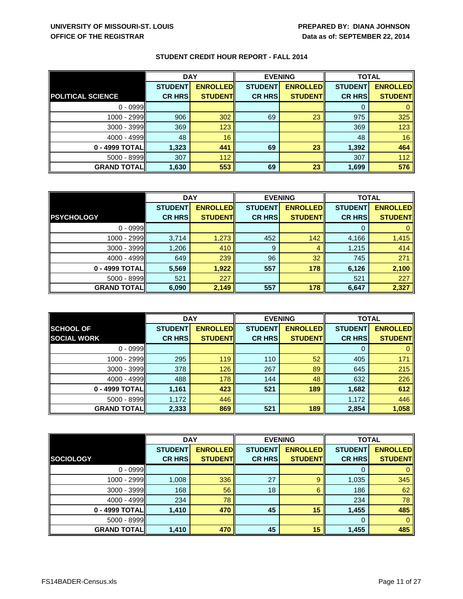|                          | <b>DAY</b>     |                 | <b>EVENING</b> |                 | <b>TOTAL</b>   |                 |
|--------------------------|----------------|-----------------|----------------|-----------------|----------------|-----------------|
|                          | <b>STUDENT</b> | <b>ENROLLED</b> | <b>STUDENT</b> | <b>ENROLLED</b> | <b>STUDENT</b> | <b>ENROLLED</b> |
| <b>POLITICAL SCIENCE</b> | <b>CR HRS</b>  | <b>STUDENT</b>  | <b>CR HRS</b>  | <b>STUDENTI</b> | <b>CR HRS</b>  | <b>STUDENT</b>  |
| $0 - 0999$               |                |                 |                |                 | 0              |                 |
| $1000 - 2999$            | 906            | 302             | 69             | 23              | 975            | 325             |
| $3000 - 3999$            | 369            | 123             |                |                 | 369            | 123             |
| 4000 - 4999              | 48             | 16              |                |                 | 48             | 16              |
| 0 - 4999 TOTALI          | 1,323          | 441             | 69             | 23              | 1,392          | 464             |
| 5000 - 8999              | 307            | $112$           |                |                 | 307            | 112             |
| <b>GRAND TOTAL</b>       | 1,630          | 553             | 69             | 23              | 1,699          | 576             |

|                    | <b>DAY</b>     |                 | <b>EVENING</b> |                 | <b>TOTAL</b>   |                 |
|--------------------|----------------|-----------------|----------------|-----------------|----------------|-----------------|
|                    | <b>STUDENT</b> | <b>ENROLLED</b> | <b>STUDENT</b> | <b>ENROLLED</b> | <b>STUDENT</b> | <b>ENROLLED</b> |
| <b>PSYCHOLOGY</b>  | <b>CR HRS</b>  | <b>STUDENT</b>  | <b>CR HRS</b>  | <b>STUDENT</b>  | <b>CR HRS</b>  | <b>STUDENT</b>  |
| $0 - 0999$         |                |                 |                |                 | 0              |                 |
| 1000 - 2999        | 3,714          | 1,273           | 452            | 142             | 4,166          | 1,415           |
| $3000 - 3999$      | 1,206          | 410             | 9              |                 | 1,215          | 414             |
| $4000 - 4999$      | 649            | 239             | 96             | 32              | 745            | 271             |
| 0 - 4999 TOTAL     | 5,569          | 1,922           | 557            | 178             | 6,126          | 2,100           |
| 5000 - 8999        | 521            | 227             |                |                 | 521            | 227             |
| <b>GRAND TOTAL</b> | 6,090          | 2,149           | 557            | 178             | 6,647          | 2,327           |

|                    | <b>DAY</b>     |                 | <b>EVENING</b> |                  | <b>TOTAL</b>   |                 |
|--------------------|----------------|-----------------|----------------|------------------|----------------|-----------------|
| <b>SCHOOL OF</b>   | <b>STUDENT</b> | <b>ENROLLED</b> | <b>STUDENT</b> | <b>ENROLLEDI</b> | <b>STUDENT</b> | <b>ENROLLED</b> |
| <b>SOCIAL WORK</b> | <b>CR HRS</b>  | <b>STUDENT</b>  | <b>CR HRS</b>  | <b>STUDENT</b>   | <b>CR HRS</b>  | <b>STUDENT</b>  |
| $0 - 0999$         |                |                 |                |                  | 0              |                 |
| 1000 - 2999        | 295            | 119             | 110            | 52               | 405            | 171             |
| 3000 - 3999        | 378            | 126             | 267            | 89               | 645            | 215             |
| $4000 - 4999$      | 488            | 178             | 144            | 48               | 632            | 226             |
| 0 - 4999 TOTAL     | 1,161          | 423             | 521            | 189              | 1,682          | 612             |
| $5000 - 8999$      | 1,172          | 446             |                |                  | 1,172          | 446             |
| <b>GRAND TOTAL</b> | 2,333          | 869             | 521            | 189              | 2,854          | 1,058           |

|                    | <b>DAY</b>     |                  | <b>EVENING</b> |                 | <b>TOTAL</b>   |                 |
|--------------------|----------------|------------------|----------------|-----------------|----------------|-----------------|
|                    | <b>STUDENT</b> | <b>ENROLLEDI</b> | <b>STUDENT</b> | <b>ENROLLED</b> | <b>STUDENT</b> | <b>ENROLLED</b> |
| <b>SOCIOLOGY</b>   | <b>CR HRS</b>  | <b>STUDENT</b>   | <b>CR HRS</b>  | <b>STUDENT</b>  | <b>CR HRS</b>  | <b>STUDENT</b>  |
| $0 - 0999$         |                |                  |                |                 | 0              |                 |
| 1000 - 2999        | 1,008          | 336              | 27             | 9               | 1,035          | 345             |
| 3000 - 3999        | 168            | 56               | 18             | 6               | 186            | 62              |
| $4000 - 4999$      | 234            | 78               |                |                 | 234            | 78              |
| 0 - 4999 TOTALI    | 1,410          | 470              | 45             | 15              | 1,455          | 485             |
| 5000 - 8999        |                |                  |                |                 | $\Omega$       |                 |
| <b>GRAND TOTAL</b> | 1,410          | 470              | 45             | 15              | 1,455          | 485             |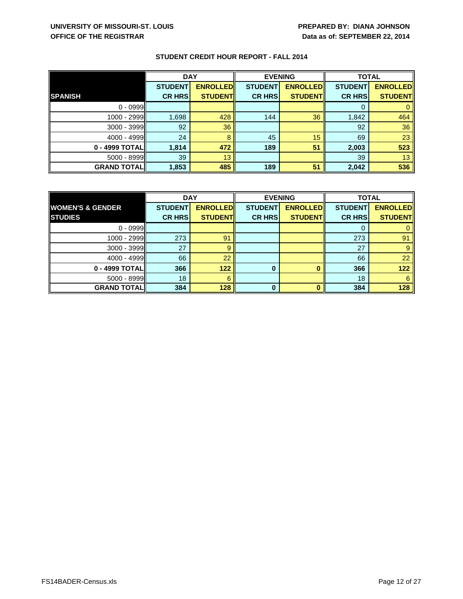|                    | <b>DAY</b>     |                 | <b>EVENING</b> |                 | <b>TOTAL</b>   |                 |
|--------------------|----------------|-----------------|----------------|-----------------|----------------|-----------------|
|                    | <b>STUDENT</b> | <b>ENROLLED</b> | <b>STUDENT</b> | <b>ENROLLED</b> | <b>STUDENT</b> | <b>ENROLLED</b> |
| <b>SPANISH</b>     | <b>CR HRS</b>  | <b>STUDENT</b>  | <b>CR HRS</b>  | <b>STUDENTI</b> | <b>CR HRS</b>  | <b>STUDENT</b>  |
| $0 - 0999$         |                |                 |                |                 | 0              |                 |
| 1000 - 2999        | 1,698          | 428             | 144            | 36              | 1,842          | 464             |
| $3000 - 3999$      | 92             | 36              |                |                 | 92             | 36              |
| 4000 - 4999        | 24             |                 | 45             | 15              | 69             | 23              |
| 0 - 4999 TOTAL     | 1,814          | 472             | 189            | 51              | 2,003          | 523             |
| 5000 - 8999        | 39             | 13              |                |                 | 39             | 13              |
| <b>GRAND TOTAL</b> | 1,853          | 485             | 189            | 51              | 2,042          | 536             |

|                             | <b>DAY</b>     |                 | <b>EVENING</b> |                 | <b>TOTAL</b>   |                 |
|-----------------------------|----------------|-----------------|----------------|-----------------|----------------|-----------------|
| <b>WOMEN'S &amp; GENDER</b> | <b>STUDENT</b> | <b>ENROLLED</b> | <b>STUDENT</b> | <b>ENROLLED</b> | <b>STUDENT</b> | <b>ENROLLED</b> |
| <b>STUDIES</b>              | <b>CR HRS</b>  | <b>STUDENTI</b> | <b>CR HRS</b>  | <b>STUDENT</b>  | <b>CR HRS</b>  | <b>STUDENT</b>  |
| $0 - 0999$                  |                |                 |                |                 |                |                 |
| 1000 - 2999                 | 273            | 91              |                |                 | 273            | 91              |
| 3000 - 3999                 | 27             | 9               |                |                 | 27             |                 |
| 4000 - 4999                 | 66             | 22              |                |                 | 66             | 22              |
| 0 - 4999 TOTAL              | 366            | 122             | 0              |                 | 366            | 122             |
| $5000 - 8999$               | 18             | 6               |                |                 | 18             | 6               |
| <b>GRAND TOTALI</b>         | 384            | 128             | $\Omega$       |                 | 384            | 128             |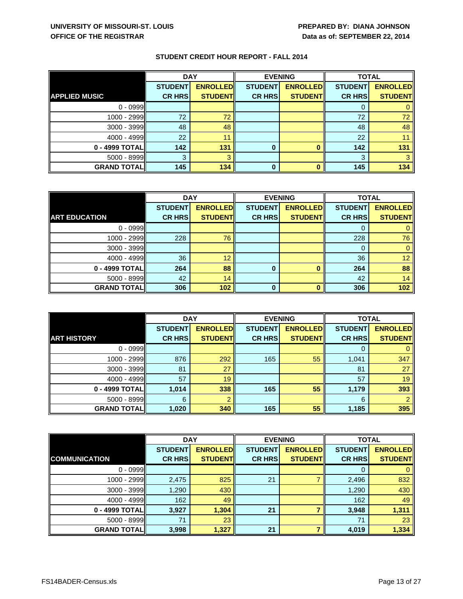|                      | <b>DAY</b>     |                 | <b>EVENING</b> |                 | <b>TOTAL</b>   |                 |
|----------------------|----------------|-----------------|----------------|-----------------|----------------|-----------------|
|                      | <b>STUDENT</b> | <b>ENROLLED</b> | <b>STUDENT</b> | <b>ENROLLED</b> | <b>STUDENT</b> | <b>ENROLLED</b> |
| <b>APPLIED MUSIC</b> | <b>CR HRS</b>  | <b>STUDENT</b>  | <b>CR HRS</b>  | <b>STUDENT</b>  | <b>CR HRS</b>  | <b>STUDENT</b>  |
| $0 - 0999$           |                |                 |                |                 | Ü              |                 |
| 1000 - 2999          | 72             | 72              |                |                 | 72             | 72              |
| 3000 - 3999          | 48             | 48              |                |                 | 48             | 48              |
| 4000 - 4999          | 22             | 11              |                |                 | 22             | 11              |
| 0 - 4999 TOTAL       | 142            | 131             | 0              |                 | 142            | 131             |
| 5000 - 8999          | 3              |                 |                |                 | 3              |                 |
| <b>GRAND TOTAL</b>   | 145            | 134             |                |                 | 145            | 134             |

|                      | <b>DAY</b>     |                 | <b>EVENING</b> |                 | <b>TOTAL</b>   |                 |
|----------------------|----------------|-----------------|----------------|-----------------|----------------|-----------------|
|                      | <b>STUDENT</b> | <b>ENROLLED</b> | <b>STUDENT</b> | <b>ENROLLED</b> | <b>STUDENT</b> | <b>ENROLLED</b> |
| <b>ART EDUCATION</b> | <b>CR HRS</b>  | <b>STUDENT</b>  | <b>CR HRS</b>  | <b>STUDENT</b>  | <b>CR HRS</b>  | <b>STUDENT</b>  |
| $0 - 0999$           |                |                 |                |                 |                |                 |
| 1000 - 2999          | 228            | 76              |                |                 | 228            | 76              |
| $3000 - 3999$        |                |                 |                |                 | 0              |                 |
| 4000 - 4999          | 36             | 12              |                |                 | 36             | 12              |
| 0 - 4999 TOTAL       | 264            | 88              | 0              |                 | 264            | 88              |
| 5000 - 8999          | 42             | 14              |                |                 | 42             | 14              |
| <b>GRAND TOTALI</b>  | 306            | 102             | 0              |                 | 306            | 102             |

|                    | <b>DAY</b>     |                 | <b>EVENING</b> |                 | <b>TOTAL</b>   |                 |
|--------------------|----------------|-----------------|----------------|-----------------|----------------|-----------------|
|                    | <b>STUDENT</b> | <b>ENROLLED</b> | <b>STUDENT</b> | <b>ENROLLED</b> | <b>STUDENT</b> | <b>ENROLLED</b> |
| <b>ART HISTORY</b> | <b>CR HRS</b>  | <b>STUDENT</b>  | <b>CR HRS</b>  | <b>STUDENT</b>  | <b>CR HRS</b>  | <b>STUDENT</b>  |
| $0 - 0999$         |                |                 |                |                 | 0              |                 |
| 1000 - 2999        | 876            | 292             | 165            | 55              | 1,041          | 347             |
| 3000 - 3999        | 81             | 27              |                |                 | 81             | 27              |
| $4000 - 4999$      | 57             | 19              |                |                 | 57             | 19              |
| 0 - 4999 TOTAL     | 1,014          | 338             | 165            | 55              | 1,179          | 393             |
| 5000 - 8999        | 6              |                 |                |                 | 6              |                 |
| <b>GRAND TOTAL</b> | 1,020          | 340             | 165            | 55              | 1,185          | 395             |

|                      | <b>DAY</b>                      |                                   | <b>EVENING</b>                  |                                    | <b>TOTAL</b>                    |                                    |
|----------------------|---------------------------------|-----------------------------------|---------------------------------|------------------------------------|---------------------------------|------------------------------------|
| <b>COMMUNICATION</b> | <b>STUDENT</b><br><b>CR HRS</b> | <b>ENROLLED</b><br><b>STUDENT</b> | <b>STUDENT</b><br><b>CR HRS</b> | <b>ENROLLED</b><br><b>STUDENTI</b> | <b>STUDENT</b><br><b>CR HRS</b> | <b>ENROLLED</b><br><b>STUDENTI</b> |
|                      |                                 |                                   |                                 |                                    |                                 |                                    |
| $0 - 0999$           |                                 |                                   |                                 |                                    | 0                               |                                    |
| $1000 - 2999$        | 2,475                           | 825                               | 21                              |                                    | 2,496                           | 832                                |
| 3000 - 3999          | 1,290                           | 430                               |                                 |                                    | 1,290                           | 430                                |
| $4000 - 4999$        | 162                             | 49                                |                                 |                                    | 162                             | 49                                 |
| 0 - 4999 TOTAL       | 3,927                           | 1,304                             | 21                              |                                    | 3,948                           | 1,311                              |
| 5000 - 8999          | 71                              | 23                                |                                 |                                    | 71                              | 23                                 |
| <b>GRAND TOTAL</b>   | 3,998                           | 1,327                             | 21                              |                                    | 4,019                           | 1,334                              |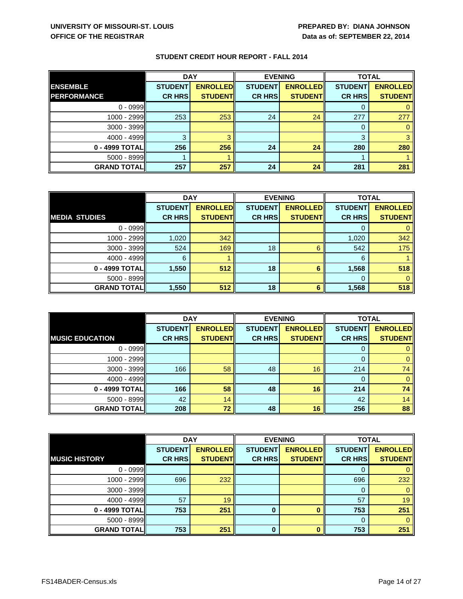|                     | <b>DAY</b>     |                 | <b>EVENING</b> |                 | <b>TOTAL</b>   |                 |
|---------------------|----------------|-----------------|----------------|-----------------|----------------|-----------------|
| <b>ENSEMBLE</b>     | <b>STUDENT</b> | <b>ENROLLED</b> | <b>STUDENT</b> | <b>ENROLLED</b> | <b>STUDENT</b> | <b>ENROLLED</b> |
| <b>PERFORMANCE</b>  | <b>CR HRS</b>  | <b>STUDENT</b>  | <b>CR HRS</b>  | <b>STUDENTI</b> | <b>CR HRS</b>  | <b>STUDENT</b>  |
| $0 - 0999$          |                |                 |                |                 |                |                 |
| 1000 - 2999         | 253            | 253             | 24             | 24              | 277            | 277             |
| $3000 - 3999$       |                |                 |                |                 | 0              |                 |
| 4000 - 4999         | 3              |                 |                |                 | 3              |                 |
| 0 - 4999 TOTAL      | 256            | 256             | 24             | 24              | 280            | 280             |
| 5000 - 8999         |                |                 |                |                 |                |                 |
| <b>GRAND TOTALI</b> | 257            | 257             | 24             | 24              | 281            | 281             |

|                      | <b>DAY</b>     |                 | <b>EVENING</b> |                 | <b>TOTAL</b>   |                 |
|----------------------|----------------|-----------------|----------------|-----------------|----------------|-----------------|
|                      | <b>STUDENT</b> | <b>ENROLLED</b> | <b>STUDENT</b> | <b>ENROLLED</b> | <b>STUDENT</b> | <b>ENROLLED</b> |
| <b>MEDIA STUDIES</b> | <b>CR HRS</b>  | <b>STUDENT</b>  | <b>CR HRS</b>  | <b>STUDENT</b>  | <b>CR HRS</b>  | <b>STUDENT</b>  |
| $0 - 0999$           |                |                 |                |                 |                |                 |
| 1000 - 2999          | 1,020          | 342             |                |                 | 1,020          | 342             |
| 3000 - 3999          | 524            | 169             | 18             | 6               | 542            | 175             |
| 4000 - 4999          | 6              |                 |                |                 | 6              |                 |
| 0 - 4999 TOTAL       | 1,550          | 512             | 18             | 6               | 1,568          | 518             |
| $5000 - 8999$        |                |                 |                |                 |                |                 |
| <b>GRAND TOTAL</b>   | 1,550          | 512             | 18             | 6               | 1,568          | 518             |

|                        | <b>DAY</b>     |                 | <b>EVENING</b> |                 | <b>TOTAL</b>   |                 |
|------------------------|----------------|-----------------|----------------|-----------------|----------------|-----------------|
|                        | <b>STUDENT</b> | <b>ENROLLED</b> | <b>STUDENT</b> | <b>ENROLLED</b> | <b>STUDENT</b> | <b>ENROLLED</b> |
| <b>MUSIC EDUCATION</b> | <b>CR HRS</b>  | <b>STUDENT</b>  | <b>CR HRS</b>  | <b>STUDENT</b>  | <b>CR HRS</b>  | <b>STUDENT</b>  |
| $0 - 0999$             |                |                 |                |                 | 0              |                 |
| 1000 - 2999            |                |                 |                |                 | 0              |                 |
| 3000 - 3999            | 166            | 58              | 48             | 16              | 214            | 74              |
| $4000 - 4999$          |                |                 |                |                 | 0              |                 |
| 0 - 4999 TOTAL         | 166            | 58              | 48             | 16              | 214            | 74              |
| $5000 - 8999$          | 42             | 14              |                |                 | 42             | 14              |
| <b>GRAND TOTAL</b>     | 208            | 72              | 48             | 16              | 256            | 88              |

|                      | <b>DAY</b>     |                 | <b>EVENING</b> |                 |                | <b>TOTAL</b>    |  |
|----------------------|----------------|-----------------|----------------|-----------------|----------------|-----------------|--|
|                      | <b>STUDENT</b> | <b>ENROLLED</b> | <b>STUDENT</b> | <b>ENROLLED</b> | <b>STUDENT</b> | <b>ENROLLED</b> |  |
| <b>MUSIC HISTORY</b> | <b>CR HRS</b>  | <b>STUDENTI</b> | <b>CR HRS</b>  | <b>STUDENT</b>  | <b>CR HRS</b>  | <b>STUDENT</b>  |  |
| $0 - 0999$           |                |                 |                |                 | 0              |                 |  |
| $1000 - 2999$        | 696            | 232             |                |                 | 696            | 232             |  |
| 3000 - 3999          |                |                 |                |                 | 0              |                 |  |
| $4000 - 4999$        | 57             | 19              |                |                 | 57             | 19              |  |
| 0 - 4999 TOTAL       | 753            | 251             | $\bf{0}$       | 0               | 753            | 251             |  |
| $5000 - 8999$        |                |                 |                |                 | 0              |                 |  |
| <b>GRAND TOTAL</b>   | 753            | 251             | $\bf{0}$       | 0               | 753            | 251             |  |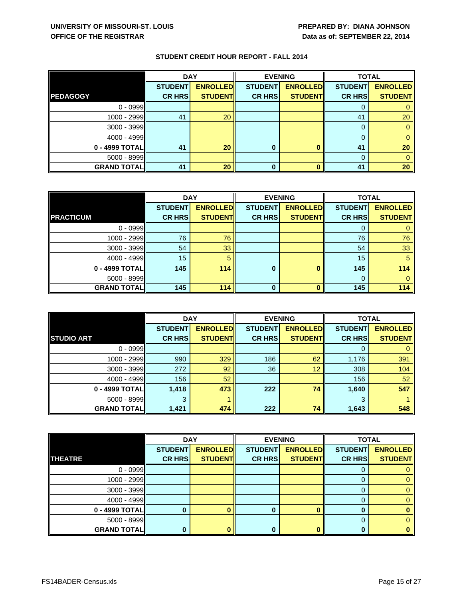|                    | <b>DAY</b>     |                 | <b>EVENING</b> |                 | <b>TOTAL</b>   |                 |
|--------------------|----------------|-----------------|----------------|-----------------|----------------|-----------------|
|                    | <b>STUDENT</b> | <b>ENROLLED</b> | <b>STUDENT</b> | <b>ENROLLED</b> | <b>STUDENT</b> | <b>ENROLLED</b> |
| <b>PEDAGOGY</b>    | <b>CR HRS</b>  | <b>STUDENT</b>  | <b>CR HRS</b>  | <b>STUDENTI</b> | <b>CR HRS</b>  | <b>STUDENT</b>  |
| $0 - 0999$         |                |                 |                |                 | O              |                 |
| 1000 - 2999        | 41             | 20              |                |                 | 41             | 20              |
| $3000 - 3999$      |                |                 |                |                 | 0              |                 |
| 4000 - 4999        |                |                 |                |                 | 0              |                 |
| 0 - 4999 TOTAL     | 41             | 20              | 0              |                 | 41             | 20              |
| $5000 - 8999$      |                |                 |                |                 | 0              |                 |
| <b>GRAND TOTAL</b> | 41             | 20              | 0              |                 | 41             | 20              |

|                    | <b>DAY</b>     |                 | <b>EVENING</b> |                 | <b>TOTAL</b>   |                 |
|--------------------|----------------|-----------------|----------------|-----------------|----------------|-----------------|
|                    | <b>STUDENT</b> | <b>ENROLLED</b> | <b>STUDENT</b> | <b>ENROLLED</b> | <b>STUDENT</b> | <b>ENROLLED</b> |
| <b>PRACTICUM</b>   | <b>CR HRS</b>  | <b>STUDENT</b>  | <b>CR HRS</b>  | <b>STUDENT</b>  | <b>CR HRS</b>  | <b>STUDENT</b>  |
| $0 - 0999$         |                |                 |                |                 |                |                 |
| 1000 - 2999        | 76             | 76              |                |                 | 76             | 76              |
| 3000 - 3999        | 54             | 33              |                |                 | 54             | 33              |
| 4000 - 4999        | 15             | 5               |                |                 | 15             | 5               |
| 0 - 4999 TOTAL     | 145            | 114             | $\bf{0}$       |                 | 145            | 114             |
| $5000 - 8999$      |                |                 |                |                 |                |                 |
| <b>GRAND TOTAL</b> | 145            | 114             | $\bf{0}$       |                 | 145            | 114             |

|                    | <b>DAY</b>     |                 | <b>EVENING</b> |                 | <b>TOTAL</b>   |                 |
|--------------------|----------------|-----------------|----------------|-----------------|----------------|-----------------|
|                    | <b>STUDENT</b> | <b>ENROLLED</b> | <b>STUDENT</b> | <b>ENROLLED</b> | <b>STUDENT</b> | <b>ENROLLED</b> |
| <b>STUDIO ART</b>  | <b>CR HRS</b>  | <b>STUDENT</b>  | <b>CR HRS</b>  | <b>STUDENT</b>  | <b>CR HRS</b>  | <b>STUDENT</b>  |
| $0 - 0999$         |                |                 |                |                 | 0              |                 |
| 1000 - 2999        | 990            | 329             | 186            | 62              | 1,176          | 391             |
| 3000 - 3999        | 272            | 92              | 36             | 12              | 308            | 104             |
| 4000 - 4999        | 156            | 52              |                |                 | 156            | 52              |
| 0 - 4999 TOTAL     | 1,418          | 473             | 222            | 74              | 1,640          | 547             |
| $5000 - 8999$      | 3              |                 |                |                 | 3              |                 |
| <b>GRAND TOTAL</b> | 1,421          | 474             | 222            | 74              | 1,643          | 548             |

|                    | <b>DAY</b>     |                 |                | <b>EVENING</b>  | <b>TOTAL</b>   |                 |
|--------------------|----------------|-----------------|----------------|-----------------|----------------|-----------------|
|                    | <b>STUDENT</b> | <b>ENROLLED</b> | <b>STUDENT</b> | <b>ENROLLED</b> | <b>STUDENT</b> | <b>ENROLLED</b> |
| <b>THEATRE</b>     | <b>CR HRS</b>  | <b>STUDENT</b>  | <b>CR HRS</b>  | <b>STUDENT</b>  | <b>CR HRS</b>  | <b>STUDENT</b>  |
| $0 - 0999$         |                |                 |                |                 | 0              |                 |
| $1000 - 2999$      |                |                 |                |                 | 0              |                 |
| $3000 - 3999$      |                |                 |                |                 | 0              |                 |
| $4000 - 4999$      |                |                 |                |                 | 0              |                 |
| 0 - 4999 TOTAL     |                |                 |                |                 | 0              |                 |
| $5000 - 8999$      |                |                 |                |                 | $\Omega$       |                 |
| <b>GRAND TOTAL</b> |                |                 | 0              |                 | 0              |                 |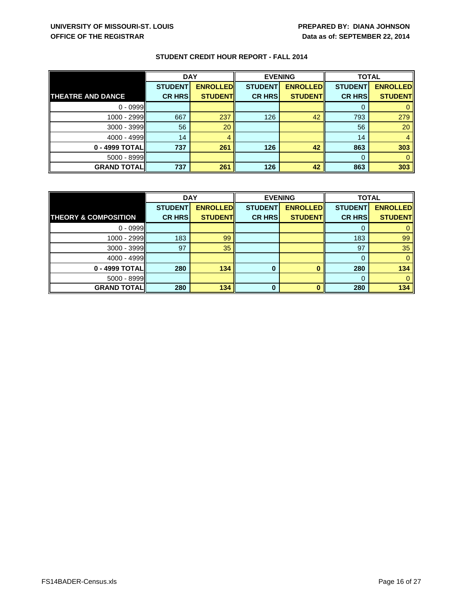|                          | <b>DAY</b>     |                 | <b>EVENING</b> |                 | <b>TOTAL</b>   |                 |
|--------------------------|----------------|-----------------|----------------|-----------------|----------------|-----------------|
|                          | <b>STUDENT</b> | <b>ENROLLED</b> | <b>STUDENT</b> | <b>ENROLLED</b> | <b>STUDENT</b> | <b>ENROLLED</b> |
| <b>THEATRE AND DANCE</b> | <b>CR HRS</b>  | <b>STUDENTI</b> | <b>CR HRS</b>  | <b>STUDENTI</b> | <b>CR HRS</b>  | <b>STUDENT</b>  |
| $0 - 0999$               |                |                 |                |                 | O              |                 |
| 1000 - 2999              | 667            | 237             | 126            | 42              | 793            | 279             |
| 3000 - 3999              | 56             | 20              |                |                 | 56             | 20              |
| 4000 - 4999              | 14             |                 |                |                 | 14             |                 |
| 0 - 4999 TOTAL           | 737            | 261             | 126            | 42              | 863            | 303             |
| $5000 - 8999$            |                |                 |                |                 | 0              |                 |
| <b>GRAND TOTAL</b>       | 737            | 261             | 126            | 42              | 863            | 303             |

|                                 | <b>DAY</b>     |                 | <b>EVENING</b> |                 | <b>TOTAL</b>   |                 |
|---------------------------------|----------------|-----------------|----------------|-----------------|----------------|-----------------|
|                                 | <b>STUDENT</b> | <b>ENROLLED</b> | <b>STUDENT</b> | <b>ENROLLED</b> | <b>STUDENT</b> | <b>ENROLLED</b> |
| <b>THEORY &amp; COMPOSITION</b> | <b>CR HRS</b>  | <b>STUDENT</b>  | <b>CR HRS</b>  | <b>STUDENT</b>  | <b>CR HRS</b>  | <b>STUDENT</b>  |
| $0 - 0999$                      |                |                 |                |                 |                |                 |
| 1000 - 2999                     | 183            | 99              |                |                 | 183            | 99              |
| 3000 - 3999                     | 97             | 35              |                |                 | 97             | 35              |
| $4000 - 4999$                   |                |                 |                |                 | 0              |                 |
| 0 - 4999 TOTAL                  | 280            | 134             | 0              |                 | 280            | 134             |
| $5000 - 8999$                   |                |                 |                |                 | 0              |                 |
| <b>GRAND TOTAL</b>              | 280            | 134             | $\bf{0}$       |                 | 280            | 134             |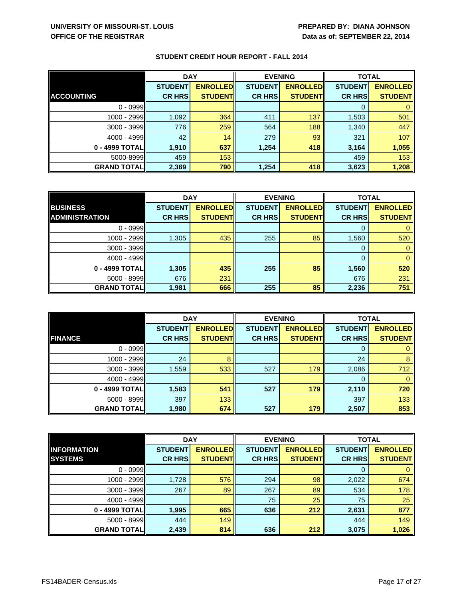|                     | <b>DAY</b>     |                 | <b>EVENING</b> |                  | <b>TOTAL</b>   |                 |
|---------------------|----------------|-----------------|----------------|------------------|----------------|-----------------|
|                     | <b>STUDENT</b> | <b>ENROLLED</b> | <b>STUDENT</b> | <b>ENROLLEDI</b> | <b>STUDENT</b> | <b>ENROLLED</b> |
| <b>ACCOUNTING</b>   | <b>CR HRS</b>  | <b>STUDENTI</b> | <b>CR HRS</b>  | <b>STUDENTI</b>  | <b>CR HRS</b>  | <b>STUDENT</b>  |
| $0 - 0999$          |                |                 |                |                  | 0              |                 |
| $1000 - 2999$       | 1,092          | 364             | 411            | 137              | 1,503          | 501             |
| $3000 - 3999$       | 776            | 259             | 564            | 188              | 1,340          | 447             |
| 4000 - 4999         | 42             | 14              | 279            | 93               | 321            | 107             |
| 0 - 4999 TOTAL      | 1,910          | 637             | 1,254          | 418              | 3,164          | 1,055           |
| 5000-8999           | 459            | 153             |                |                  | 459            | 153             |
| <b>GRAND TOTALI</b> | 2,369          | 790             | 1,254          | 418              | 3,623          | 1,208           |

|                       | <b>DAY</b>     |                 | <b>EVENING</b> |                 | <b>TOTAL</b>   |                 |
|-----------------------|----------------|-----------------|----------------|-----------------|----------------|-----------------|
| <b>BUSINESS</b>       | <b>STUDENT</b> | <b>ENROLLED</b> | <b>STUDENT</b> | <b>ENROLLED</b> | <b>STUDENT</b> | <b>ENROLLED</b> |
| <b>ADMINISTRATION</b> | <b>CR HRS</b>  | <b>STUDENT</b>  | <b>CR HRS</b>  | <b>STUDENT</b>  | <b>CR HRS</b>  | <b>STUDENT</b>  |
| $0 - 0999$            |                |                 |                |                 | 0              |                 |
| $1000 - 2999$         | 1,305          | 435             | 255            | 85              | 1,560          | 520             |
| $3000 - 3999$         |                |                 |                |                 | 0              |                 |
| $4000 - 4999$         |                |                 |                |                 | $\Omega$       |                 |
| 0 - 4999 TOTAL        | 1,305          | 435             | 255            | 85              | 1,560          | 520             |
| $5000 - 8999$         | 676            | 231             |                |                 | 676            | 231             |
| <b>GRAND TOTAL</b>    | 1,981          | 666             | 255            | 85              | 2,236          | 751             |

|                    | <b>DAY</b>     |                 | <b>EVENING</b> |                 | <b>TOTAL</b>   |                 |
|--------------------|----------------|-----------------|----------------|-----------------|----------------|-----------------|
|                    | <b>STUDENT</b> | <b>ENROLLED</b> | <b>STUDENT</b> | <b>ENROLLED</b> | <b>STUDENT</b> | <b>ENROLLED</b> |
| <b>FINANCE</b>     | <b>CR HRS</b>  | <b>STUDENT</b>  | <b>CR HRS</b>  | <b>STUDENT</b>  | <b>CR HRS</b>  | <b>STUDENT</b>  |
| $0 - 0999$         |                |                 |                |                 | 0              |                 |
| $1000 - 2999$      | 24             |                 |                |                 | 24             | 8               |
| 3000 - 3999        | 1,559          | 533             | 527            | 179             | 2,086          | 712             |
| 4000 - 4999        |                |                 |                |                 | 0              |                 |
| 0 - 4999 TOTAL     | 1,583          | 541             | 527            | 179             | 2,110          | 720             |
| 5000 - 8999        | 397            | 133             |                |                 | 397            | 133             |
| <b>GRAND TOTAL</b> | 1,980          | 674             | 527            | 179             | 2,507          | 853             |

|                    | <b>DAY</b>     |                 | <b>EVENING</b> |                 | <b>TOTAL</b>   |                 |
|--------------------|----------------|-----------------|----------------|-----------------|----------------|-----------------|
| <b>INFORMATION</b> | <b>STUDENT</b> | <b>ENROLLED</b> | <b>STUDENT</b> | <b>ENROLLED</b> | <b>STUDENT</b> | <b>ENROLLED</b> |
| <b>SYSTEMS</b>     | <b>CR HRS</b>  | <b>STUDENT</b>  | <b>CR HRS</b>  | <b>STUDENT</b>  | <b>CR HRS</b>  | <b>STUDENT</b>  |
| $0 - 0999$         |                |                 |                |                 | 0              |                 |
| $1000 - 2999$      | 1,728          | 576             | 294            | 98              | 2,022          | 674             |
| $3000 - 3999$      | 267            | 89              | 267            | 89              | 534            | 178             |
| $4000 - 4999$      |                |                 | 75             | 25              | 75             | 25              |
| 0 - 4999 TOTAL     | 1,995          | 665             | 636            | 212             | 2,631          | 877             |
| 5000 - 8999        | 444            | 149             |                |                 | 444            | 149             |
| <b>GRAND TOTAL</b> | 2,439          | 814             | 636            | 212             | 3,075          | 1,026           |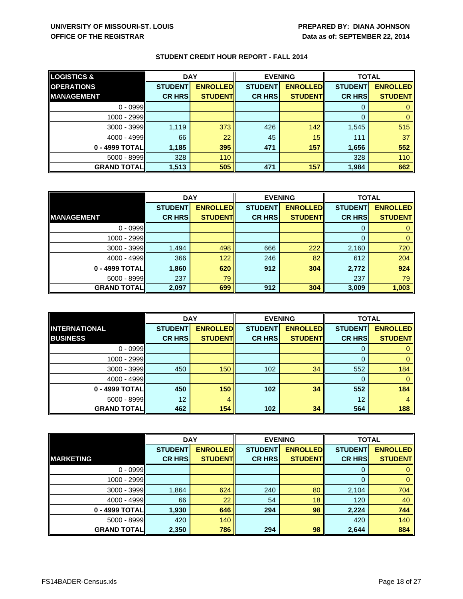| <b>LOGISTICS &amp;</b> | <b>DAY</b>     |                 | <b>EVENING</b> |                  | <b>TOTAL</b>   |                 |
|------------------------|----------------|-----------------|----------------|------------------|----------------|-----------------|
| <b>OPERATIONS</b>      | <b>STUDENT</b> | <b>ENROLLED</b> | <b>STUDENT</b> | <b>ENROLLEDI</b> | <b>STUDENT</b> | <b>ENROLLED</b> |
| <b>MANAGEMENT</b>      | <b>CR HRS</b>  | <b>STUDENT</b>  | <b>CR HRS</b>  | <b>STUDENT</b>   | <b>CR HRS</b>  | <b>STUDENT</b>  |
| $0 - 0999$             |                |                 |                |                  | 0              |                 |
| 1000 - 2999            |                |                 |                |                  | 0              |                 |
| 3000 - 3999            | 1,119          | 373             | 426            | 142              | 1,545          | 515             |
| $4000 - 4999$          | 66             | 22              | 45             | 15               | 111            | 37              |
| 0 - 4999 TOTAL         | 1,185          | 395             | 471            | 157              | 1,656          | 552             |
| $5000 - 8999$          | 328            | 110             |                |                  | 328            | 110             |
| <b>GRAND TOTAL</b>     | 1,513          | 505             | 471            | 157              | 1,984          | 662             |

|                     | <b>DAY</b>     |                 | <b>EVENING</b> |                 | <b>TOTAL</b>   |                 |
|---------------------|----------------|-----------------|----------------|-----------------|----------------|-----------------|
|                     | <b>STUDENT</b> | <b>ENROLLED</b> | <b>STUDENT</b> | <b>ENROLLED</b> | <b>STUDENT</b> | <b>ENROLLED</b> |
| <b>MANAGEMENT</b>   | <b>CR HRS</b>  | <b>STUDENT</b>  | <b>CR HRS</b>  | <b>STUDENT</b>  | <b>CR HRS</b>  | <b>STUDENT</b>  |
| $0 - 0999$          |                |                 |                |                 | 0              |                 |
| 1000 - 2999         |                |                 |                |                 | 0              |                 |
| $3000 - 3999$       | 1,494          | 498             | 666            | 222             | 2,160          | 720             |
| $4000 - 4999$       | 366            | 122             | 246            | 82              | 612            | 204             |
| 0 - 4999 TOTAL      | 1,860          | 620             | 912            | 304             | 2,772          | 924             |
| 5000 - 8999         | 237            | 79              |                |                 | 237            | 79              |
| <b>GRAND TOTALI</b> | 2,097          | 699             | 912            | 304             | 3,009          | 1,003           |

|                      | <b>DAY</b>     |                 | <b>EVENING</b> |                 | <b>TOTAL</b>   |                 |
|----------------------|----------------|-----------------|----------------|-----------------|----------------|-----------------|
| <b>INTERNATIONAL</b> | <b>STUDENT</b> | <b>ENROLLED</b> | <b>STUDENT</b> | <b>ENROLLED</b> | <b>STUDENT</b> | <b>ENROLLED</b> |
| <b>BUSINESS</b>      | <b>CR HRS</b>  | <b>STUDENT</b>  | <b>CR HRS</b>  | <b>STUDENT</b>  | <b>CR HRS</b>  | <b>STUDENT</b>  |
| $0 - 0999$           |                |                 |                |                 | 0              |                 |
| 1000 - 2999          |                |                 |                |                 | $\Omega$       |                 |
| 3000 - 3999          | 450            | 150             | 102            | 34              | 552            | 184             |
| $4000 - 4999$        |                |                 |                |                 | 0              |                 |
| 0 - 4999 TOTAL       | 450            | 150             | 102            | 34              | 552            | 184             |
| $5000 - 8999$        | 12             | 4               |                |                 | 12             | 4               |
| <b>GRAND TOTAL</b>   | 462            | 154             | 102            | 34              | 564            | 188             |

|                    | <b>DAY</b>                      |                                     |                                 | <b>EVENING</b>                     |                                 | <b>TOTAL</b>                       |
|--------------------|---------------------------------|-------------------------------------|---------------------------------|------------------------------------|---------------------------------|------------------------------------|
| <b>MARKETING</b>   | <b>STUDENT</b><br><b>CR HRS</b> | <b>ENROLLEDI</b><br><b>STUDENTI</b> | <b>STUDENT</b><br><b>CR HRS</b> | <b>ENROLLED</b><br><b>STUDENTI</b> | <b>STUDENT</b><br><b>CR HRS</b> | <b>ENROLLED</b><br><b>STUDENTI</b> |
|                    |                                 |                                     |                                 |                                    |                                 |                                    |
| $0 - 0999$         |                                 |                                     |                                 |                                    | 0                               |                                    |
| 1000 - 2999        |                                 |                                     |                                 |                                    | 0                               |                                    |
| $3000 - 3999$      | 1,864                           | 624                                 | 240                             | 80                                 | 2,104                           | 704                                |
| $4000 - 4999$      | 66                              | 22                                  | 54                              | 18                                 | 120                             | 40                                 |
| 0 - 4999 TOTALI    | 1,930                           | 646                                 | 294                             | 98                                 | 2,224                           | 744                                |
| 5000 - 8999        | 420                             | 140                                 |                                 |                                    | 420                             | 140                                |
| <b>GRAND TOTAL</b> | 2,350                           | 786                                 | 294                             | 98                                 | 2,644                           | 884                                |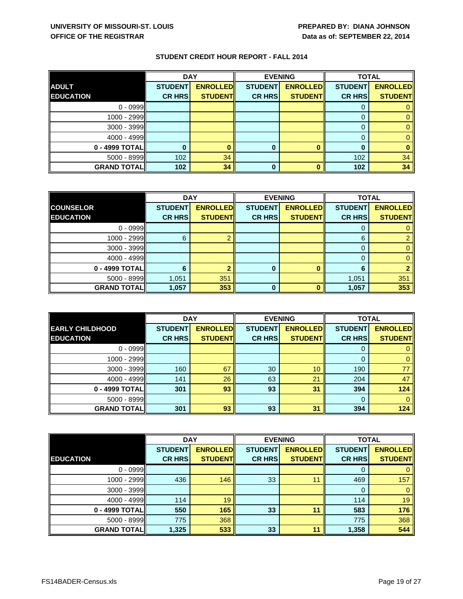|                    | <b>DAY</b>     |                 | <b>EVENING</b> |                 | <b>TOTAL</b>   |                 |
|--------------------|----------------|-----------------|----------------|-----------------|----------------|-----------------|
| <b>ADULT</b>       | <b>STUDENT</b> | <b>ENROLLED</b> | <b>STUDENT</b> | <b>ENROLLED</b> | <b>STUDENT</b> | <b>ENROLLED</b> |
| <b>EDUCATION</b>   | <b>CR HRS</b>  | <b>STUDENT</b>  | <b>CR HRS</b>  | <b>STUDENTI</b> | <b>CR HRS</b>  | <b>STUDENT</b>  |
| $0 - 0999$         |                |                 |                |                 |                |                 |
| $1000 - 2999$      |                |                 |                |                 |                |                 |
| $3000 - 3999$      |                |                 |                |                 | 0              |                 |
| 4000 - 4999        |                |                 |                |                 |                |                 |
| 0 - 4999 TOTAL     |                |                 | $\bf{0}$       |                 |                |                 |
| $5000 - 8999$      | 102            | 34              |                |                 | 102            | 34              |
| <b>GRAND TOTAL</b> | 102            | 34              | 0              |                 | 102            | 34              |

|                    | <b>DAY</b>     |                 |                | <b>EVENING</b>  |                | <b>TOTAL</b>    |  |
|--------------------|----------------|-----------------|----------------|-----------------|----------------|-----------------|--|
| <b>COUNSELOR</b>   | <b>STUDENT</b> | <b>ENROLLED</b> | <b>STUDENT</b> | <b>ENROLLED</b> | <b>STUDENT</b> | <b>ENROLLED</b> |  |
| <b>EDUCATION</b>   | <b>CR HRS</b>  | <b>STUDENTI</b> | <b>CR HRS</b>  | <b>STUDENT</b>  | <b>CR HRS</b>  | <b>STUDENT</b>  |  |
| $0 - 0999$         |                |                 |                |                 |                |                 |  |
| 1000 - 2999        | 6              |                 |                |                 | 6              |                 |  |
| $3000 - 3999$      |                |                 |                |                 | 0              |                 |  |
| $4000 - 4999$      |                |                 |                |                 | $\Omega$       |                 |  |
| 0 - 4999 TOTAL     | 6              |                 | $\bf{0}$       |                 | 6              |                 |  |
| $5000 - 8999$      | 1,051          | 351             |                |                 | 1,051          | 351             |  |
| <b>GRAND TOTAL</b> | 1,057          | 353             | 0              |                 | 1,057          | 353             |  |

|                        | <b>DAY</b>     |                 | <b>EVENING</b> |                 | <b>TOTAL</b>   |                 |
|------------------------|----------------|-----------------|----------------|-----------------|----------------|-----------------|
| <b>EARLY CHILDHOOD</b> | <b>STUDENT</b> | <b>ENROLLED</b> | <b>STUDENT</b> | <b>ENROLLED</b> | <b>STUDENT</b> | <b>ENROLLED</b> |
| <b>EDUCATION</b>       | <b>CR HRS</b>  | <b>STUDENT</b>  | <b>CR HRS</b>  | <b>STUDENT</b>  | <b>CR HRS</b>  | <b>STUDENT</b>  |
| $0 - 0999$             |                |                 |                |                 |                |                 |
| 1000 - 2999            |                |                 |                |                 |                |                 |
| 3000 - 3999            | 160            | 67              | 30             | 10              | 190            | 77              |
| 4000 - 4999            | 141            | 26              | 63             | 21              | 204            | 47              |
| 0 - 4999 TOTAL         | 301            | 93              | 93             | 31              | 394            | 124             |
| $5000 - 8999$          |                |                 |                |                 | 0              |                 |
| <b>GRAND TOTAL</b>     | 301            | 93              | 93             | 31              | 394            | 124             |

|                    | <b>DAY</b>     |                 | <b>EVENING</b> |                 |                | <b>TOTAL</b>    |  |
|--------------------|----------------|-----------------|----------------|-----------------|----------------|-----------------|--|
|                    | <b>STUDENT</b> | <b>ENROLLED</b> | <b>STUDENT</b> | <b>ENROLLED</b> | <b>STUDENT</b> | <b>ENROLLED</b> |  |
| <b>EDUCATION</b>   | <b>CR HRS</b>  | <b>STUDENTI</b> | <b>CR HRS</b>  | <b>STUDENT</b>  | <b>CR HRS</b>  | <b>STUDENT</b>  |  |
| $0 - 0999$         |                |                 |                |                 | 0              |                 |  |
| 1000 - 2999        | 436            | 146             | 33             | 11              | 469            | 157             |  |
| 3000 - 3999        |                |                 |                |                 | 0              |                 |  |
| $4000 - 4999$      | 114            | 19              |                |                 | 114            | 19              |  |
| 0 - 4999 TOTAL     | 550            | 165             | 33             | 11              | 583            | 176             |  |
| 5000 - 8999        | 775            | 368             |                |                 | 775            | 368             |  |
| <b>GRAND TOTAL</b> | 1,325          | 533             | 33             | 11              | 1,358          | 544             |  |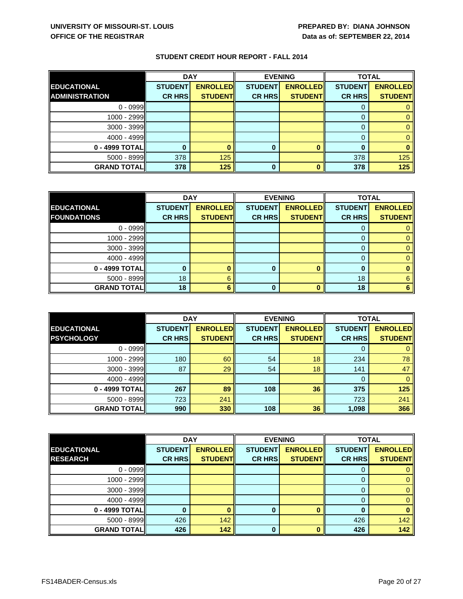|                       | <b>DAY</b>     |                 | <b>EVENING</b> |                 | <b>TOTAL</b>   |                 |
|-----------------------|----------------|-----------------|----------------|-----------------|----------------|-----------------|
| <b>EDUCATIONAL</b>    | <b>STUDENT</b> | <b>ENROLLED</b> | <b>STUDENT</b> | <b>ENROLLED</b> | <b>STUDENT</b> | <b>ENROLLED</b> |
| <b>ADMINISTRATION</b> | <b>CR HRS</b>  | <b>STUDENTI</b> | <b>CR HRS</b>  | <b>STUDENTI</b> | <b>CR HRS</b>  | <b>STUDENT</b>  |
| $0 - 0999$            |                |                 |                |                 |                |                 |
| 1000 - 2999           |                |                 |                |                 |                |                 |
| 3000 - 3999           |                |                 |                |                 |                |                 |
| 4000 - 4999           |                |                 |                |                 |                |                 |
| 0 - 4999 TOTAL        |                |                 |                |                 |                |                 |
| 5000 - 8999           | 378            | 125             |                |                 | 378            | 125             |
| <b>GRAND TOTAL</b>    | 378            | 125             |                |                 | 378            | 125             |

|                    | <b>DAY</b>     |                 | <b>EVENING</b> |                 | <b>TOTAL</b>   |                 |
|--------------------|----------------|-----------------|----------------|-----------------|----------------|-----------------|
| <b>EDUCATIONAL</b> | <b>STUDENT</b> | <b>ENROLLED</b> | <b>STUDENT</b> | <b>ENROLLED</b> | <b>STUDENT</b> | <b>ENROLLED</b> |
| <b>FOUNDATIONS</b> | <b>CR HRS</b>  | <b>STUDENT</b>  | <b>CR HRS</b>  | <b>STUDENT</b>  | <b>CR HRS</b>  | <b>STUDENT</b>  |
| $0 - 0999$         |                |                 |                |                 |                |                 |
| $1000 - 2999$      |                |                 |                |                 |                |                 |
| 3000 - 3999        |                |                 |                |                 | O              |                 |
| $4000 - 4999$      |                |                 |                |                 |                |                 |
| 0 - 4999 TOTAL     |                |                 | 0              |                 | 0              |                 |
| $5000 - 8999$      | 18             | 6               |                |                 | 18             | 6               |
| <b>GRAND TOTAL</b> | 18             |                 | 0              |                 | 18             |                 |

|                    | <b>DAY</b>     |                 | <b>EVENING</b> |                 | <b>TOTAL</b>   |                 |
|--------------------|----------------|-----------------|----------------|-----------------|----------------|-----------------|
| <b>EDUCATIONAL</b> | <b>STUDENT</b> | <b>ENROLLED</b> | <b>STUDENT</b> | <b>ENROLLED</b> | <b>STUDENT</b> | <b>ENROLLED</b> |
| <b>PSYCHOLOGY</b>  | <b>CR HRS</b>  | <b>STUDENT</b>  | <b>CR HRS</b>  | <b>STUDENT</b>  | <b>CR HRS</b>  | <b>STUDENT</b>  |
| $0 - 0999$         |                |                 |                |                 |                |                 |
| 1000 - 2999        | 180            | 60              | 54             | 18              | 234            | 78              |
| 3000 - 3999        | 87             | 29              | 54             | 18              | 141            | 47              |
| 4000 - 4999        |                |                 |                |                 | 0              |                 |
| 0 - 4999 TOTAL     | 267            | 89              | 108            | 36              | 375            | 125             |
| $5000 - 8999$      | 723            | 241             |                |                 | 723            | 241             |
| <b>GRAND TOTAL</b> | 990            | 330             | 108            | 36              | 1,098          | 366             |

|                    | <b>DAY</b>     |                 | <b>EVENING</b> |                 | <b>TOTAL</b>   |                 |
|--------------------|----------------|-----------------|----------------|-----------------|----------------|-----------------|
| <b>EDUCATIONAL</b> | <b>STUDENT</b> | <b>ENROLLED</b> | <b>STUDENT</b> | <b>ENROLLED</b> | <b>STUDENT</b> | <b>ENROLLED</b> |
| <b>RESEARCH</b>    | <b>CR HRS</b>  | <b>STUDENTI</b> | <b>CR HRS</b>  | <b>STUDENT</b>  | <b>CR HRS</b>  | <b>STUDENT</b>  |
| $0 - 0999$         |                |                 |                |                 | O              |                 |
| $1000 - 2999$      |                |                 |                |                 |                |                 |
| 3000 - 3999        |                |                 |                |                 | 0              |                 |
| $4000 - 4999$      |                |                 |                |                 | 0              |                 |
| 0 - 4999 TOTAL     |                |                 |                |                 | 0              |                 |
| 5000 - 8999        | 426            | 142             |                |                 | 426            | 142             |
| <b>GRAND TOTAL</b> | 426            | 142             | $\bf{0}$       |                 | 426            | 142             |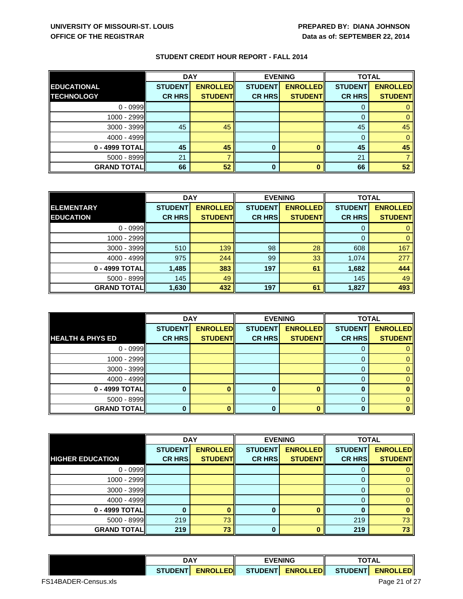|                    | <b>DAY</b>     |                 |                | <b>EVENING</b>  | <b>TOTAL</b>   |                 |
|--------------------|----------------|-----------------|----------------|-----------------|----------------|-----------------|
| <b>EDUCATIONAL</b> | <b>STUDENT</b> | <b>ENROLLED</b> | <b>STUDENT</b> | <b>ENROLLED</b> | <b>STUDENT</b> | <b>ENROLLED</b> |
| <b>TECHNOLOGY</b>  | <b>CR HRS</b>  | <b>STUDENT</b>  | <b>CR HRS</b>  | <b>STUDENT</b>  | <b>CR HRS</b>  | <b>STUDENTI</b> |
| $0 - 0999$         |                |                 |                |                 | O              |                 |
| 1000 - 2999        |                |                 |                |                 |                |                 |
| 3000 - 3999        | 45             | 45              |                |                 | 45             | 45              |
| $4000 - 4999$      |                |                 |                |                 | 0              |                 |
| 0 - 4999 TOTAL     | 45             | 45              |                |                 | 45             | 45              |
| $5000 - 8999$      | 21             |                 |                |                 | 21             |                 |
| <b>GRAND TOTAL</b> | 66             | 52              | 0              |                 | 66             | 52              |

|                    | <b>DAY</b><br><b>EVENING</b> |                 |                | <b>TOTAL</b>    |                |                 |
|--------------------|------------------------------|-----------------|----------------|-----------------|----------------|-----------------|
| <b>ELEMENTARY</b>  | <b>STUDENT</b>               | <b>ENROLLED</b> | <b>STUDENT</b> | <b>ENROLLED</b> | <b>STUDENT</b> | <b>ENROLLED</b> |
| <b>EDUCATION</b>   | <b>CR HRS</b>                | <b>STUDENT</b>  | <b>CR HRS</b>  | <b>STUDENT</b>  | <b>CR HRS</b>  | <b>STUDENT</b>  |
| $0 - 0999$         |                              |                 |                |                 | 0              |                 |
| 1000 - 2999        |                              |                 |                |                 | 0              | 0               |
| $3000 - 3999$      | 510                          | 139             | 98             | 28              | 608            | 167             |
| $4000 - 4999$      | 975                          | 244             | 99             | 33              | 1,074          | 277             |
| 0 - 4999 TOTAL     | 1,485                        | 383             | 197            | 61              | 1,682          | 444             |
| $5000 - 8999$      | 145                          | 49              |                |                 | 145            | 49              |
| <b>GRAND TOTAL</b> | 1,630                        | 432             | 197            | 61              | 1,827          | 493             |

|                             | <b>DAY</b>     |                 | <b>EVENING</b> |                 | <b>TOTAL</b>   |                 |
|-----------------------------|----------------|-----------------|----------------|-----------------|----------------|-----------------|
|                             | <b>STUDENT</b> | <b>ENROLLED</b> | <b>STUDENT</b> | <b>ENROLLED</b> | <b>STUDENT</b> | <b>ENROLLED</b> |
| <b>HEALTH &amp; PHYS ED</b> | <b>CR HRS</b>  | <b>STUDENT</b>  | <b>CR HRS</b>  | <b>STUDENT</b>  | <b>CR HRS</b>  | <b>STUDENT</b>  |
| $0 - 0999$                  |                |                 |                |                 | 0              |                 |
| 1000 - 2999                 |                |                 |                |                 | 0              |                 |
| 3000 - 3999                 |                |                 |                |                 | 0              |                 |
| $4000 - 4999$               |                |                 |                |                 | 0              |                 |
| 0 - 4999 TOTAL              |                |                 | o              |                 | 0              |                 |
| $5000 - 8999$               |                |                 |                |                 | 0              |                 |
| <b>GRAND TOTAL</b>          |                |                 |                |                 | n              |                 |

|                         | <b>DAY</b>     |                 |                | <b>EVENING</b>  |                | <b>TOTAL</b>    |  |
|-------------------------|----------------|-----------------|----------------|-----------------|----------------|-----------------|--|
|                         | <b>STUDENT</b> | <b>ENROLLED</b> | <b>STUDENT</b> | <b>ENROLLED</b> | <b>STUDENT</b> | <b>ENROLLED</b> |  |
| <b>HIGHER EDUCATION</b> | <b>CR HRS</b>  | <b>STUDENT</b>  | <b>CR HRS</b>  | <b>STUDENT</b>  | <b>CR HRS</b>  | <b>STUDENT</b>  |  |
| $0 - 0999$              |                |                 |                |                 | 0              |                 |  |
| 1000 - 2999             |                |                 |                |                 | 0              |                 |  |
| 3000 - 3999             |                |                 |                |                 | $\Omega$       |                 |  |
| $4000 - 4999$           |                |                 |                |                 | 0              |                 |  |
| 0 - 4999 TOTAL          |                |                 |                |                 |                |                 |  |
| 5000 - 8999             | 219            | 73              |                |                 | 219            | 73              |  |
| <b>GRAND TOTAL</b>      | 219            | 73              | 0              |                 | 219            | 73              |  |

|                      | DAY            |                  | <b>EVENING</b>      |  | <b>TOTAL</b> |                     |  |
|----------------------|----------------|------------------|---------------------|--|--------------|---------------------|--|
|                      | <b>STUDENT</b> | <b>ENROLLEDI</b> | STUDENTI ENROLLEDII |  |              | STUDENTI ENROLLEDII |  |
| FS14BADER-Census.xls |                |                  |                     |  |              | Page 21 of 27       |  |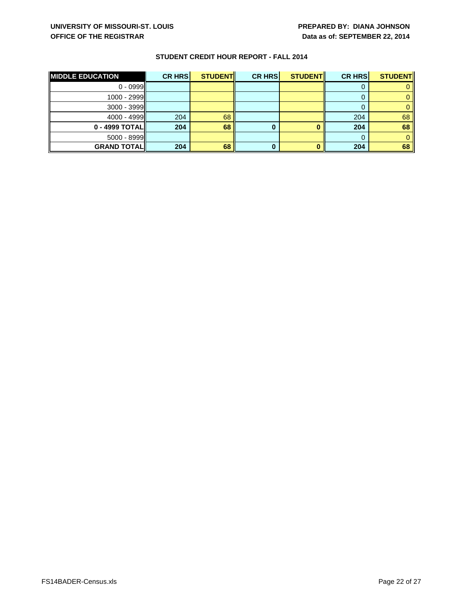| <b>MIDDLE EDUCATION</b> | <b>CR HRS</b> | <b>STUDENTI</b> | <b>CR HRS</b> | <b>STUDENT</b> | <b>CR HRS</b> | <b>STUDENT</b> |
|-------------------------|---------------|-----------------|---------------|----------------|---------------|----------------|
| $0 - 0999$              |               |                 |               |                |               |                |
| $1000 - 2999$           |               |                 |               |                |               |                |
| $3000 - 3999$           |               |                 |               |                |               |                |
| $4000 - 4999$           | 204           | 68              |               |                | 204           | 68             |
| 0 - 4999 TOTALI         | 204           | 68              |               |                | 204           | 68             |
| $5000 - 8999$           |               |                 |               |                |               |                |
| <b>GRAND TOTALI</b>     | 204           | 68              |               |                | 204           | 68             |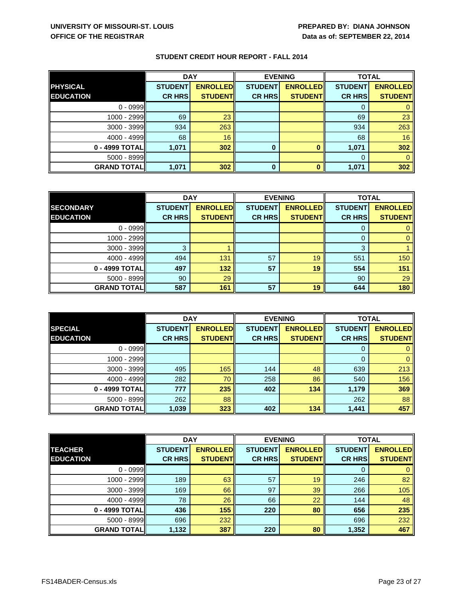|                    | <b>DAY</b><br><b>EVENING</b> |                 |                | <b>TOTAL</b>    |                |                 |
|--------------------|------------------------------|-----------------|----------------|-----------------|----------------|-----------------|
| <b>PHYSICAL</b>    | <b>STUDENT</b>               | <b>ENROLLED</b> | <b>STUDENT</b> | <b>ENROLLED</b> | <b>STUDENT</b> | <b>ENROLLED</b> |
| <b>EDUCATION</b>   | <b>CR HRS</b>                | <b>STUDENTI</b> | <b>CR HRS</b>  | <b>STUDENTI</b> | <b>CR HRS</b>  | <b>STUDENT</b>  |
| $0 - 0999$         |                              |                 |                |                 |                |                 |
| 1000 - 2999        | 69                           | 23              |                |                 | 69             | 23              |
| 3000 - 3999        | 934                          | 263             |                |                 | 934            | 263             |
| 4000 - 4999        | 68                           | 16              |                |                 | 68             | 16              |
| 0 - 4999 TOTAL     | 1,071                        | 302             | 0              |                 | 1,071          | 302             |
| $5000 - 8999$      |                              |                 |                |                 | 0              |                 |
| <b>GRAND TOTAL</b> | 1,071                        | 302             | $\bf{0}$       |                 | 1,071          | 302             |

|                     | <b>DAY</b><br><b>EVENING</b> |                 | <b>TOTAL</b>   |                 |                |                 |
|---------------------|------------------------------|-----------------|----------------|-----------------|----------------|-----------------|
| <b>SECONDARY</b>    | <b>STUDENT</b>               | <b>ENROLLED</b> | <b>STUDENT</b> | <b>ENROLLED</b> | <b>STUDENT</b> | <b>ENROLLED</b> |
| <b>EDUCATION</b>    | <b>CR HRS</b>                | <b>STUDENT</b>  | <b>CR HRS</b>  | <b>STUDENT</b>  | <b>CR HRS</b>  | <b>STUDENT</b>  |
| $0 - 0999$          |                              |                 |                |                 |                |                 |
| 1000 - 2999         |                              |                 |                |                 | 0              |                 |
| $3000 - 3999$       | 3                            |                 |                |                 | 3              |                 |
| $4000 - 4999$       | 494                          | 131             | 57             | 19              | 551            | 150             |
| 0 - 4999 TOTAL      | 497                          | 132             | 57             | 19              | 554            | 151             |
| $5000 - 8999$       | 90                           | 29              |                |                 | 90             | 29              |
| <b>GRAND TOTALI</b> | 587                          | 161             | 57             | 19              | 644            | 180             |

|                    |                | <b>DAY</b><br><b>EVENING</b> |                | <b>TOTAL</b>    |                |                 |
|--------------------|----------------|------------------------------|----------------|-----------------|----------------|-----------------|
| <b>SPECIAL</b>     | <b>STUDENT</b> | <b>ENROLLED</b>              | <b>STUDENT</b> | <b>ENROLLED</b> | <b>STUDENT</b> | <b>ENROLLED</b> |
| <b>EDUCATION</b>   | <b>CR HRS</b>  | <b>STUDENT</b>               | <b>CR HRS</b>  | <b>STUDENT</b>  | <b>CR HRS</b>  | <b>STUDENT</b>  |
| $0 - 0999$         |                |                              |                |                 | 0              |                 |
| 1000 - 2999        |                |                              |                |                 | $\mathbf{0}$   |                 |
| 3000 - 3999        | 495            | 165                          | 144            | 48              | 639            | 213             |
| $4000 - 4999$      | 282            | 70                           | 258            | 86              | 540            | 156             |
| 0 - 4999 TOTAL     | 777            | 235                          | 402            | 134             | 1,179          | 369             |
| $5000 - 8999$      | 262            | 88                           |                |                 | 262            | 88              |
| <b>GRAND TOTAL</b> | 1,039          | 323                          | 402            | 134             | 1,441          | 457             |

|                                    | <b>DAY</b>                      |                                     | <b>EVENING</b>                  |                                    | <b>TOTAL</b>                    |                                    |
|------------------------------------|---------------------------------|-------------------------------------|---------------------------------|------------------------------------|---------------------------------|------------------------------------|
| <b>TEACHER</b><br><b>EDUCATION</b> | <b>STUDENT</b><br><b>CR HRS</b> | <b>ENROLLEDI</b><br><b>STUDENTI</b> | <b>STUDENT</b><br><b>CR HRS</b> | <b>ENROLLED</b><br><b>STUDENTI</b> | <b>STUDENT</b><br><b>CR HRS</b> | <b>ENROLLED</b><br><b>STUDENTI</b> |
| $0 - 0999$                         |                                 |                                     |                                 |                                    | 0                               |                                    |
| 1000 - 2999                        | 189                             | 63                                  | 57                              | 19                                 | 246                             | 82                                 |
| $3000 - 3999$                      | 169                             | 66                                  | 97                              | 39                                 | 266                             | 105                                |
| $4000 - 4999$                      | 78                              | 26                                  | 66                              | 22                                 | 144                             | 48                                 |
| 0 - 4999 TOTALI                    | 436                             | 155                                 | 220                             | 80                                 | 656                             | 235                                |
| 5000 - 8999                        | 696                             | 232                                 |                                 |                                    | 696                             | 232                                |
| <b>GRAND TOTALI</b>                | 1,132                           | 387                                 | 220                             | 80                                 | 1,352                           | 467                                |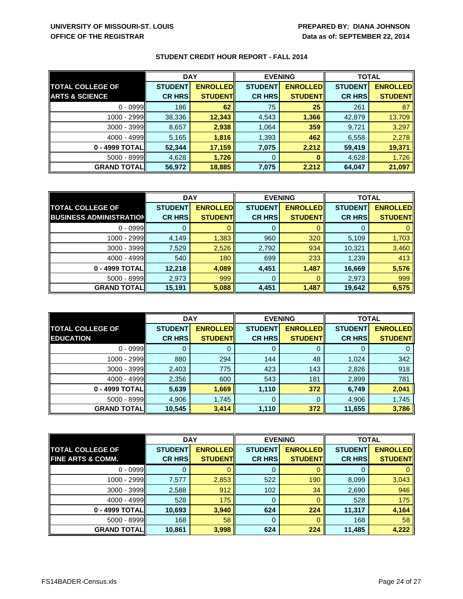|                           |                | <b>DAY</b>      |                | <b>EVENING</b>  |                | <b>TOTAL</b>    |  |
|---------------------------|----------------|-----------------|----------------|-----------------|----------------|-----------------|--|
| <b>TOTAL COLLEGE OF</b>   | <b>STUDENT</b> | <b>ENROLLED</b> | <b>STUDENT</b> | <b>ENROLLED</b> | <b>STUDENT</b> | <b>ENROLLED</b> |  |
| <b>ARTS &amp; SCIENCE</b> | <b>CR HRS</b>  | <b>STUDENT</b>  | <b>CR HRS</b>  | <b>STUDENT</b>  | <b>CR HRS</b>  | <b>STUDENT</b>  |  |
| $0 - 0999$                | 186            | 62              | 75             | 25              | 261            | 87              |  |
| $1000 - 2999$             | 38,336         | 12,343          | 4,543          | 1,366           | 42,879         | 13,709          |  |
| $3000 - 3999$             | 8,657          | 2,938           | 1,064          | 359             | 9,721          | 3,297           |  |
| $4000 - 4999$             | 5,165          | 1,816           | 1,393          | 462             | 6,558          | 2,278           |  |
| 0 - 4999 TOTAL            | 52,344         | 17,159          | 7,075          | 2,212           | 59,419         | 19,371          |  |
| $5000 - 8999$             | 4,628          | 1,726           | 0              |                 | 4,628          | 1,726           |  |
| <b>GRAND TOTALI</b>       | 56,972         | 18,885          | 7,075          | 2,212           | 64,047         | 21,097          |  |

|                                | <b>DAY</b>     |                 | <b>EVENING</b> |                 | <b>TOTAL</b>   |                  |
|--------------------------------|----------------|-----------------|----------------|-----------------|----------------|------------------|
| <b>TOTAL COLLEGE OF</b>        | <b>STUDENT</b> | <b>ENROLLED</b> | <b>STUDENT</b> | <b>ENROLLED</b> | <b>STUDENT</b> | <b>ENROLLEDI</b> |
| <b>BUSINESS ADMINISTRATION</b> | <b>CR HRS</b>  | <b>STUDENT</b>  | <b>CR HRS</b>  | <b>STUDENT</b>  | <b>CR HRS</b>  | <b>STUDENT</b>   |
| $0 - 0999$                     |                |                 |                |                 |                |                  |
| $1000 - 2999$                  | 4,149          | 1,383           | 960            | 320             | 5,109          | 1,703            |
| $3000 - 3999$                  | 7,529          | 2,526           | 2,792          | 934             | 10,321         | 3,460            |
| $4000 - 4999$                  | 540            | 180             | 699            | 233             | 1,239          | 413              |
| 0 - 4999 TOTAL                 | 12,218         | 4,089           | 4,451          | 1,487           | 16,669         | 5,576            |
| 5000 - 8999                    | 2,973          | 999             | 0              | 0               | 2,973          | 999              |
| <b>GRAND TOTALI</b>            | 15,191         | 5,088           | 4,451          | 1,487           | 19,642         | 6,575            |

|                                             | <b>DAY</b>     |                 | <b>EVENING</b> |                                    | <b>TOTAL</b>   |                                   |
|---------------------------------------------|----------------|-----------------|----------------|------------------------------------|----------------|-----------------------------------|
| <b>TOTAL COLLEGE OF</b><br><b>EDUCATION</b> | <b>STUDENT</b> | <b>ENROLLED</b> | <b>STUDENT</b> | <b>ENROLLED</b><br><b>STUDENTI</b> | <b>STUDENT</b> | <b>ENROLLED</b><br><b>STUDENT</b> |
|                                             | <b>CR HRS</b>  | <b>STUDENT</b>  | <b>CR HRS</b>  |                                    | <b>CR HRS</b>  |                                   |
| $0 - 0999$                                  |                | O               |                | O                                  | 0              |                                   |
| 1000 - 2999                                 | 880            | 294             | 144            | 48                                 | 1,024          | 342                               |
| $3000 - 3999$                               | 2,403          | 775             | 423            | 143                                | 2,826          | 918                               |
| $4000 - 4999$                               | 2,356          | 600             | 543            | 181                                | 2,899          | 781                               |
| 0 - 4999 TOTAL                              | 5,639          | 1,669           | 1,110          | 372                                | 6,749          | 2,041                             |
| $5000 - 8999$                               | 4,906          | 1,745           | $\Omega$       | 0                                  | 4,906          | 1,745                             |
| <b>GRAND TOTAL</b>                          | 10,545         | 3,414           | 1,110          | 372                                | 11,655         | 3,786                             |

|                              | <b>DAY</b>     |                 | <b>EVENING</b> |                  | <b>TOTAL</b>   |                 |
|------------------------------|----------------|-----------------|----------------|------------------|----------------|-----------------|
| <b>TOTAL COLLEGE OF</b>      | <b>STUDENT</b> | <b>ENROLLED</b> | <b>STUDENT</b> | <b>ENROLLEDI</b> | <b>STUDENT</b> | <b>ENROLLED</b> |
| <b>FINE ARTS &amp; COMM.</b> | <b>CR HRS</b>  | <b>STUDENT</b>  | <b>CR HRS</b>  | <b>STUDENT</b>   | <b>CR HRS</b>  | <b>STUDENT</b>  |
| $0 - 0999$                   |                |                 |                |                  | O              |                 |
| $1000 - 2999$                | 7,577          | 2,853           | 522            | 190              | 8,099          | 3,043           |
| $3000 - 3999$                | 2,588          | 912             | 102            | 34               | 2,690          | 946             |
| $4000 - 4999$                | 528            | 175             | 0              |                  | 528            | 175             |
| 0 - 4999 TOTAL               | 10,693         | 3,940           | 624            | 224              | 11,317         | 4,164           |
| 5000 - 8999                  | 168            | 58              | 0              |                  | 168            | 58              |
| <b>GRAND TOTAL</b>           | 10,861         | 3,998           | 624            | 224              | 11,485         | 4,222           |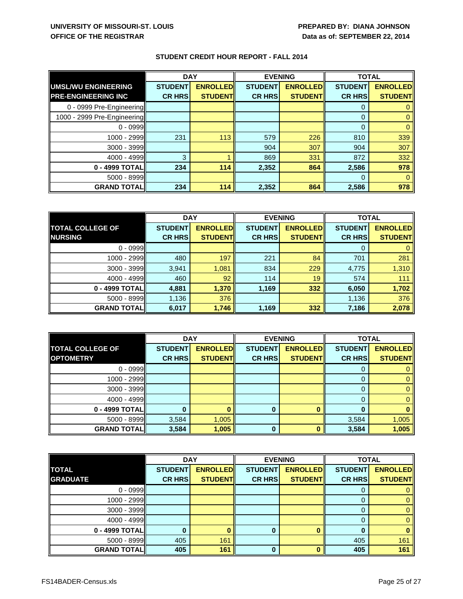|                             | <b>DAY</b>     |                 | <b>EVENING</b> |                 | <b>TOTAL</b>   |                 |
|-----------------------------|----------------|-----------------|----------------|-----------------|----------------|-----------------|
| <b>UMSL/WU ENGINEERING</b>  | <b>STUDENT</b> | <b>ENROLLED</b> | <b>STUDENT</b> | <b>ENROLLED</b> | <b>STUDENT</b> | <b>ENROLLED</b> |
| <b>PRE-ENGINEERING INC</b>  | <b>CR HRS</b>  | <b>STUDENT</b>  | <b>CR HRS</b>  | <b>STUDENT</b>  | <b>CR HRS</b>  | <b>STUDENT</b>  |
| 0 - 0999 Pre-Engineering    |                |                 |                |                 | 0              |                 |
| 1000 - 2999 Pre-Engineering |                |                 |                |                 | $\mathbf 0$    |                 |
| $0 - 0999$                  |                |                 |                |                 | 0              |                 |
| 1000 - 2999                 | 231            | 113             | 579            | 226             | 810            | 339             |
| 3000 - 3999                 |                |                 | 904            | 307             | 904            | 307             |
| 4000 - 4999                 | 3              |                 | 869            | 331             | 872            | 332             |
| 0 - 4999 TOTAL              | 234            | 114             | 2,352          | 864             | 2,586          | 978             |
| 5000 - 8999                 |                |                 |                |                 | $\Omega$       |                 |
| <b>GRAND TOTAL</b>          | 234            | 114             | 2,352          | 864             | 2,586          | 978             |

|                         | <b>DAY</b>     |                 | <b>EVENING</b> |                 | <b>TOTAL</b>   |                 |
|-------------------------|----------------|-----------------|----------------|-----------------|----------------|-----------------|
| <b>TOTAL COLLEGE OF</b> | <b>STUDENT</b> | <b>ENROLLED</b> | <b>STUDENT</b> | <b>ENROLLED</b> | <b>STUDENT</b> | <b>ENROLLED</b> |
| <b>NURSING</b>          | <b>CR HRS</b>  | <b>STUDENT</b>  | <b>CR HRS</b>  | <b>STUDENT</b>  | <b>CR HRS</b>  | <b>STUDENT</b>  |
| $0 - 0999$              |                |                 |                |                 |                |                 |
| 1000 - 2999             | 480            | 197             | 221            | 84              | 701            | 281             |
| 3000 - 3999             | 3,941          | 1,081           | 834            | 229             | 4,775          | 1,310           |
| 4000 - 4999             | 460            | 92              | 114            | 19              | 574            | 111             |
| 0 - 4999 TOTAL          | 4,881          | 1,370           | 1,169          | 332             | 6,050          | 1,702           |
| $5000 - 8999$           | 1,136          | 376             |                |                 | 1,136          | 376             |
| <b>GRAND TOTAL</b>      | 6,017          | 1,746           | 1,169          | 332             | 7,186          | 2,078           |

|                         | <b>DAY</b>     |                 | <b>EVENING</b> |                  | <b>TOTAL</b>   |                 |
|-------------------------|----------------|-----------------|----------------|------------------|----------------|-----------------|
| <b>TOTAL COLLEGE OF</b> | <b>STUDENT</b> | <b>ENROLLED</b> | <b>STUDENT</b> | <b>ENROLLEDI</b> | <b>STUDENT</b> | <b>ENROLLED</b> |
| <b>OPTOMETRY</b>        | <b>CR HRS</b>  | <b>STUDENT</b>  | <b>CR HRS</b>  | <b>STUDENT</b>   | <b>CR HRS</b>  | <b>STUDENTI</b> |
| $0 - 0999$              |                |                 |                |                  | Ü              |                 |
| $1000 - 2999$           |                |                 |                |                  |                |                 |
| $3000 - 3999$           |                |                 |                |                  | 0              |                 |
| $4000 - 4999$           |                |                 |                |                  | 0              |                 |
| 0 - 4999 TOTAL          |                |                 |                |                  |                |                 |
| 5000 - 8999             | 3,584          | 1,005           |                |                  | 3,584          | 1,005           |
| <b>GRAND TOTAL</b>      | 3,584          | 1,005           |                |                  | 3,584          | 1,005           |

|                    | <b>DAY</b>     |                 | <b>EVENING</b> |                 | <b>TOTAL</b>   |                 |
|--------------------|----------------|-----------------|----------------|-----------------|----------------|-----------------|
| <b>TOTAL</b>       | <b>STUDENT</b> | <b>ENROLLED</b> | <b>STUDENT</b> | <b>ENROLLED</b> | <b>STUDENT</b> | <b>ENROLLED</b> |
| <b>GRADUATE</b>    | <b>CR HRS</b>  | <b>STUDENTI</b> | <b>CR HRS</b>  | <b>STUDENT</b>  | <b>CR HRS</b>  | <b>STUDENT</b>  |
| $0 - 0999$         |                |                 |                |                 | 0              |                 |
| $1000 - 2999$      |                |                 |                |                 | 0              |                 |
| $3000 - 3999$      |                |                 |                |                 | 0              |                 |
| $4000 - 4999$      |                |                 |                |                 | $\Omega$       |                 |
| 0 - 4999 TOTAL     |                |                 | 0              |                 | 0              |                 |
| 5000 - 8999        | 405            | 161             |                |                 | 405            | 161             |
| <b>GRAND TOTAL</b> | 405            | 161             | <sup>0</sup>   |                 | 405            | 161             |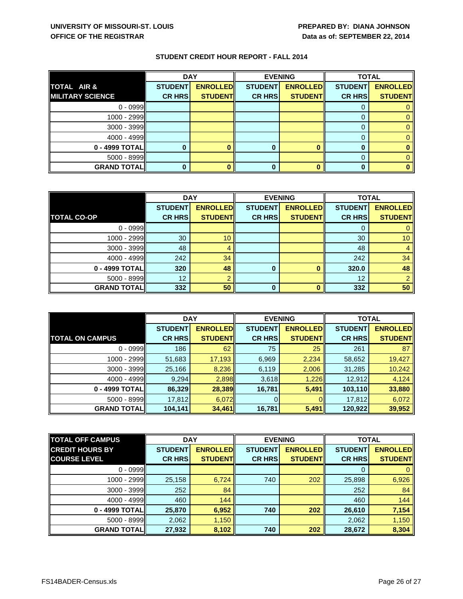|                         | <b>DAY</b>     |                 | <b>EVENING</b> |                 | <b>TOTAL</b>   |                 |
|-------------------------|----------------|-----------------|----------------|-----------------|----------------|-----------------|
| TOTAL AIR &             | <b>STUDENT</b> | <b>ENROLLED</b> | <b>STUDENT</b> | <b>ENROLLED</b> | <b>STUDENT</b> | <b>ENROLLED</b> |
| <b>MILITARY SCIENCE</b> | <b>CR HRS</b>  | <b>STUDENTI</b> | <b>CR HRS</b>  | <b>STUDENTI</b> | <b>CR HRSI</b> | <b>STUDENT</b>  |
| $0 - 0999$              |                |                 |                |                 |                |                 |
| $1000 - 2999$           |                |                 |                |                 |                |                 |
| $3000 - 3999$           |                |                 |                |                 |                |                 |
| $4000 - 4999$           |                |                 |                |                 |                |                 |
| 0 - 4999 TOTAL          |                |                 |                |                 | 0              |                 |
| $5000 - 8999$           |                |                 |                |                 |                |                 |
| <b>GRAND TOTAL</b>      |                |                 |                |                 | 0              |                 |

|                    | <b>DAY</b>     |                 | <b>EVENING</b> |                 | <b>TOTAL</b>   |                 |
|--------------------|----------------|-----------------|----------------|-----------------|----------------|-----------------|
|                    | <b>STUDENT</b> | <b>ENROLLED</b> | <b>STUDENT</b> | <b>ENROLLED</b> | <b>STUDENT</b> | <b>ENROLLED</b> |
| <b>TOTAL CO-OP</b> | <b>CR HRS</b>  | <b>STUDENT</b>  | <b>CR HRS</b>  | <b>STUDENT</b>  | <b>CR HRS</b>  | <b>STUDENT</b>  |
| $0 - 0999$         |                |                 |                |                 |                |                 |
| 1000 - 2999        | 30             | 10              |                |                 | 30             | 10 <sup>1</sup> |
| $3000 - 3999$      | 48             |                 |                |                 | 48             |                 |
| 4000 - 4999        | 242            | 34              |                |                 | 242            | 34              |
| 0 - 4999 TOTAL     | 320            | 48              | 0              |                 | 320.0          | 48              |
| $5000 - 8999$      | 12             |                 |                |                 | 12             |                 |
| <b>GRAND TOTAL</b> | 332            | 50              | 0              |                 | 332            | 50              |

|                        | <b>DAY</b>     |                 | <b>EVENING</b> |                 | <b>TOTAL</b>   |                 |
|------------------------|----------------|-----------------|----------------|-----------------|----------------|-----------------|
|                        | <b>STUDENT</b> | <b>ENROLLED</b> | <b>STUDENT</b> | <b>ENROLLED</b> | <b>STUDENT</b> | <b>ENROLLED</b> |
| <b>TOTAL ON CAMPUS</b> | <b>CR HRS</b>  | <b>STUDENTI</b> | <b>CR HRS</b>  | <b>STUDENTI</b> | <b>CR HRS</b>  | <b>STUDENT</b>  |
| $0 - 0999$             | 186            | 62              | 75             | 25              | 261            | 87              |
| $1000 - 2999$          | 51,683         | 17,193          | 6,969          | 2,234           | 58,652         | 19,427          |
| $3000 - 3999$          | 25,166         | 8,236           | 6,119          | 2,006           | 31,285         | 10,242          |
| $4000 - 4999$          | 9,294          | 2,898           | 3,618          | 1,226           | 12,912         | 4,124           |
| 0 - 4999 TOTAL         | 86,329         | 28,389          | 16,781         | 5,491           | 103,110        | 33,880          |
| $5000 - 8999$          | 17,812         | 6,072           |                |                 | 17,812         | 6,072           |
| <b>GRAND TOTAL</b>     | 104,141        | 34,461          | 16,781         | 5,491           | 120,922        | 39,952          |

| <b>TOTAL OFF CAMPUS</b> | <b>DAY</b>     |                 | <b>EVENING</b> |                 | <b>TOTAL</b>   |                 |
|-------------------------|----------------|-----------------|----------------|-----------------|----------------|-----------------|
| <b>CREDIT HOURS BY</b>  | <b>STUDENT</b> | <b>ENROLLED</b> | <b>STUDENT</b> | <b>ENROLLED</b> | <b>STUDENT</b> | <b>ENROLLED</b> |
| <b>COURSE LEVEL</b>     | <b>CR HRS</b>  | <b>STUDENT</b>  | <b>CR HRS</b>  | <b>STUDENTI</b> | <b>CR HRS</b>  | <b>STUDENTI</b> |
| $0 - 0999$              |                |                 |                |                 | 0              |                 |
| $1000 - 2999$           | 25,158         | 6,724           | 740            | 202             | 25,898         | 6,926           |
| $3000 - 3999$           | 252            | 84              |                |                 | 252            | 84              |
| $4000 - 4999$           | 460            | 144             |                |                 | 460            | 144             |
| 0 - 4999 TOTAL          | 25,870         | 6,952           | 740            | 202             | 26,610         | 7,154           |
| $5000 - 8999$           | 2,062          | 1,150           |                |                 | 2,062          | 1,150           |
| <b>GRAND TOTAL</b>      | 27,932         | 8,102           | 740            | 202             | 28,672         | 8,304           |